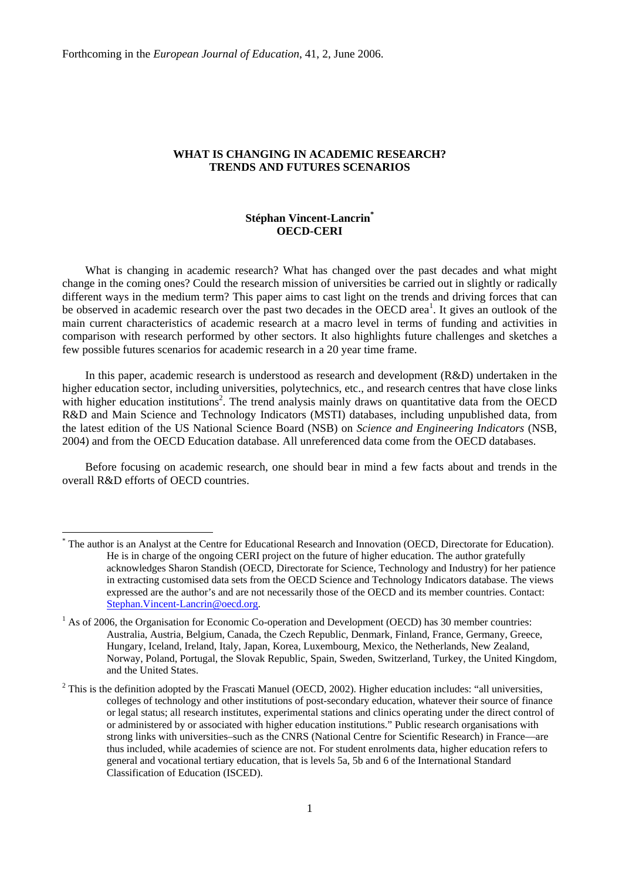# **WHAT IS CHANGING IN ACADEMIC RESEARCH? TRENDS AND FUTURES SCENARIOS**

# **Stéphan Vincent-Lancri[n](#page-0-0)\* [OE](#page-0-0)CD-CERI**

What is changing in academic research? What has changed over the past decades and what might change in the coming ones? Could the research mission of universities be carried out in slightly or radically different ways in the medium term? This paper aims to cast light on the trends and driving forces that can be observed in academic research over the past two decades in the OECD area<sup>[1](#page-0-1)</sup>. It gives an outlook of the main current characteristics of academic research at a macro level in terms of funding and activities in comparison with research performed by other sectors. It also highlights future challenges and sketches a few possible futures scenarios for academic research in a 20 year time frame.

In this paper, academic research is understood as research and development (R&D) undertaken in the higher education sector, including universities, polytechnics, etc., and research centres that have close links with higher education institutions<sup>2</sup>. The trend analysis mainly draws on quantitative data from the OECD R&D and Main Science and Technology Indicators (MSTI) databases, including unpublished data, from the latest edition of the US National Science Board (NSB) on *Science and Engineering Indicators* (NSB, 2004) and from the OECD Education database. All unreferenced data come from the OECD databases.

Before focusing on academic research, one should bear in mind a few facts about and trends in the overall R&D efforts of OECD countries.

<span id="page-0-0"></span> <sup>\*</sup> The author is an Analyst at the Centre for Educational Research and Innovation (OECD, Directorate for Education). He is in charge of the ongoing CERI project on the future of higher education. The author gratefully acknowledges Sharon Standish (OECD, Directorate for Science, Technology and Industry) for her patience in extracting customised data sets from the OECD Science and Technology Indicators database. The views expressed are the author's and are not necessarily those of the OECD and its member countries. Contact: [Stephan.Vincent-Lancrin@oecd.org.](mailto:Stephan.Vincent-Lancrin@oecd.org)

<span id="page-0-1"></span> $<sup>1</sup>$  As of 2006, the Organisation for Economic Co-operation and Development (OECD) has 30 member countries:</sup> Australia, Austria, Belgium, Canada, the Czech Republic, Denmark, Finland, France, Germany, Greece, Hungary, Iceland, Ireland, Italy, Japan, Korea, Luxembourg, Mexico, the Netherlands, New Zealand, Norway, Poland, Portugal, the Slovak Republic, Spain, Sweden, Switzerland, Turkey, the United Kingdom, and the United States.

<span id="page-0-2"></span> $2$  This is the definition adopted by the Frascati Manuel (OECD, 2002). Higher education includes: "all universities, colleges of technology and other institutions of post-secondary education, whatever their source of finance or legal status; all research institutes, experimental stations and clinics operating under the direct control of or administered by or associated with higher education institutions." Public research organisations with strong links with universities–such as the CNRS (National Centre for Scientific Research) in France—are thus included, while academies of science are not. For student enrolments data, higher education refers to general and vocational tertiary education, that is levels 5a, 5b and 6 of the International Standard Classification of Education (ISCED).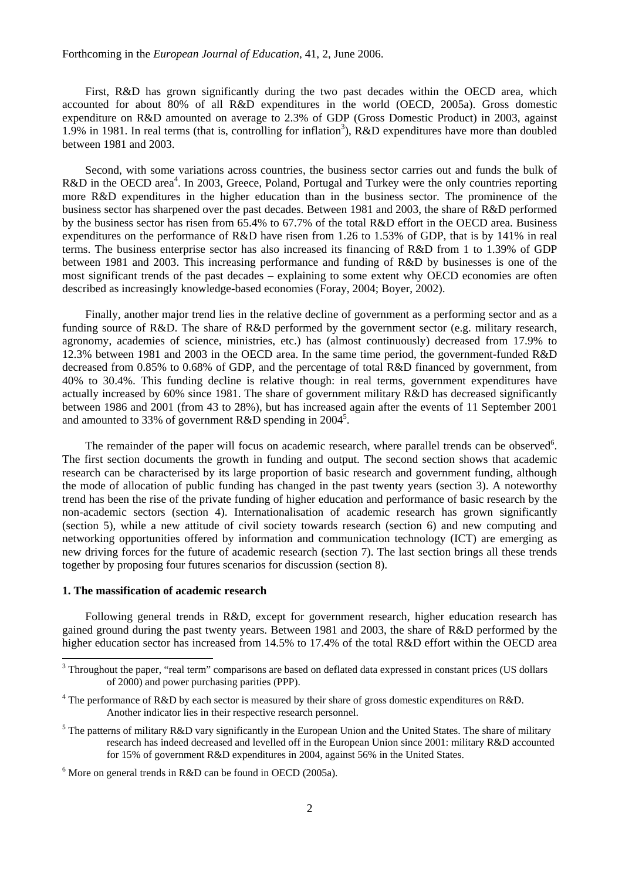First, R&D has grown significantly during the two past decades within the OECD area, which accounted for about 80% of all R&D expenditures in the world (OECD, 2005a). Gross domestic expenditure on R&D amounted on average to 2.3% of GDP (Gross Domestic Product) in 2003, against 1.9% in 1981. In real terms (that is, controlling for inflation<sup>3</sup>), R&D expenditures have more than doubled between 1981 and 2003.

Second, with some variations across countries, the business sector carries out and funds the bulk of R&D in the OECD area<sup>[4](#page-1-1)</sup>. In 2003, Greece, Poland, Portugal and Turkey were the only countries reporting more R&D expenditures in the higher education than in the business sector. The prominence of the business sector has sharpened over the past decades. Between 1981 and 2003, the share of R&D performed by the business sector has risen from 65.4% to 67.7% of the total R&D effort in the OECD area. Business expenditures on the performance of R&D have risen from 1.26 to 1.53% of GDP, that is by 141% in real terms. The business enterprise sector has also increased its financing of R&D from 1 to 1.39% of GDP between 1981 and 2003. This increasing performance and funding of R&D by businesses is one of the most significant trends of the past decades – explaining to some extent why OECD economies are often described as increasingly knowledge-based economies (Foray, 2004; Boyer, 2002).

Finally, another major trend lies in the relative decline of government as a performing sector and as a funding source of R&D. The share of R&D performed by the government sector (e.g. military research, agronomy, academies of science, ministries, etc.) has (almost continuously) decreased from 17.9% to 12.3% between 1981 and 2003 in the OECD area. In the same time period, the government-funded R&D decreased from 0.85% to 0.68% of GDP, and the percentage of total R&D financed by government, from 40% to 30.4%. This funding decline is relative though: in real terms, government expenditures have actually increased by 60% since 1981. The share of government military R&D has decreased significantly between 1986 and 2001 (from 43 to 28%), but has increased again after the events of 11 September 2001 and amounted to 33% of government R&D spending in  $2004^5$ .

The remainder of the paper will focus on academic research, where parallel trends can be observed<sup>[6](#page-1-3)</sup>. The first section documents the growth in funding and output. The second section shows that academic research can be characterised by its large proportion of basic research and government funding, although the mode of allocation of public funding has changed in the past twenty years (section 3). A noteworthy trend has been the rise of the private funding of higher education and performance of basic research by the non-academic sectors (section 4). Internationalisation of academic research has grown significantly (section 5), while a new attitude of civil society towards research (section 6) and new computing and networking opportunities offered by information and communication technology (ICT) are emerging as new driving forces for the future of academic research (section 7). The last section brings all these trends together by proposing four futures scenarios for discussion (section 8).

# **1. The massification of academic research**

Following general trends in R&D, except for government research, higher education research has gained ground during the past twenty years. Between 1981 and 2003, the share of R&D performed by the higher education sector has increased from 14.5% to 17.4% of the total R&D effort within the OECD area

<span id="page-1-2"></span><sup>5</sup> The patterns of military R&D vary significantly in the European Union and the United States. The share of military research has indeed decreased and levelled off in the European Union since 2001: military R&D accounted for 15% of government R&D expenditures in 2004, against 56% in the United States.

<span id="page-1-0"></span> <sup>3</sup> <sup>3</sup> Throughout the paper, "real term" comparisons are based on deflated data expressed in constant prices (US dollars of 2000) and power purchasing parities (PPP).

<span id="page-1-1"></span><sup>&</sup>lt;sup>4</sup> The performance of R&D by each sector is measured by their share of gross domestic expenditures on R&D. Another indicator lies in their respective research personnel.

<span id="page-1-3"></span> $6$  More on general trends in R&D can be found in OECD (2005a).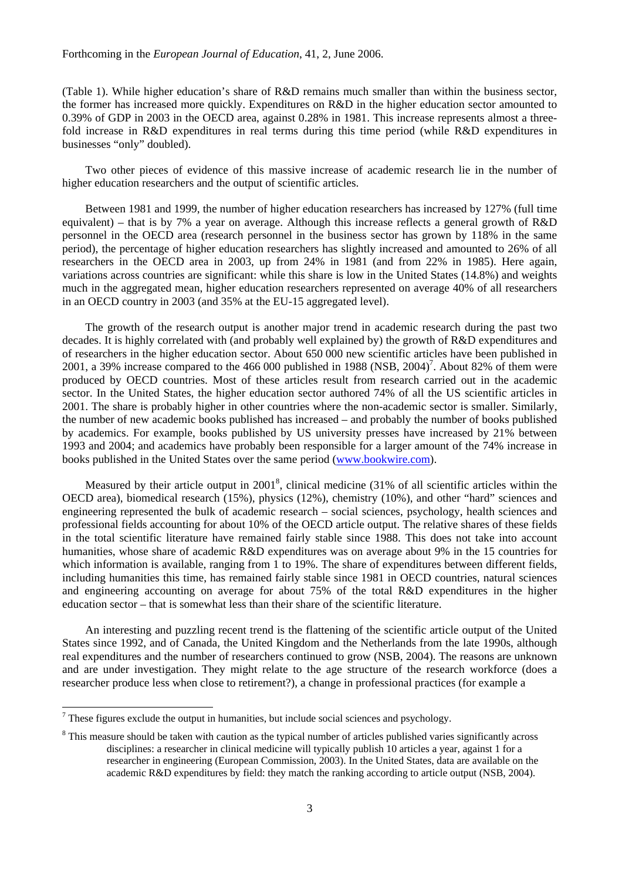(Table 1). While higher education's share of R&D remains much smaller than within the business sector, the former has increased more quickly. Expenditures on R&D in the higher education sector amounted to 0.39% of GDP in 2003 in the OECD area, against 0.28% in 1981. This increase represents almost a threefold increase in R&D expenditures in real terms during this time period (while R&D expenditures in businesses "only" doubled).

Two other pieces of evidence of this massive increase of academic research lie in the number of higher education researchers and the output of scientific articles.

Between 1981 and 1999, the number of higher education researchers has increased by 127% (full time equivalent) – that is by 7% a year on average. Although this increase reflects a general growth of R&D personnel in the OECD area (research personnel in the business sector has grown by 118% in the same period), the percentage of higher education researchers has slightly increased and amounted to 26% of all researchers in the OECD area in 2003, up from 24% in 1981 (and from 22% in 1985). Here again, variations across countries are significant: while this share is low in the United States (14.8%) and weights much in the aggregated mean, higher education researchers represented on average 40% of all researchers in an OECD country in 2003 (and 35% at the EU-15 aggregated level).

The growth of the research output is another major trend in academic research during the past two decades. It is highly correlated with (and probably well explained by) the growth of R&D expenditures and of researchers in the higher education sector. About 650 000 new scientific articles have been published in 2001, a 39% increase compared to the 466 000 published in 1988 (NSB, 2004)<sup>[7](#page-2-0)</sup>. About 82% of them were produced by OECD countries. Most of these articles result from research carried out in the academic sector. In the United States, the higher education sector authored 74% of all the US scientific articles in 2001. The share is probably higher in other countries where the non-academic sector is smaller. Similarly, the number of new academic books published has increased – and probably the number of books published by academics. For example, books published by US university presses have increased by 21% between 1993 and 2004; and academics have probably been responsible for a larger amount of the 74% increase in books published in the United States over the same period ([www.bookwire.com\)](http://www.bookwire.com/).

Measured by their article output in  $2001^8$ , clinical medicine (31% of all scientific articles within the OECD area), biomedical research (15%), physics (12%), chemistry (10%), and other "hard" sciences and engineering represented the bulk of academic research – social sciences, psychology, health sciences and professional fields accounting for about 10% of the OECD article output. The relative shares of these fields in the total scientific literature have remained fairly stable since 1988. This does not take into account humanities, whose share of academic R&D expenditures was on average about 9% in the 15 countries for which information is available, ranging from 1 to 19%. The share of expenditures between different fields, including humanities this time, has remained fairly stable since 1981 in OECD countries, natural sciences and engineering accounting on average for about 75% of the total R&D expenditures in the higher education sector – that is somewhat less than their share of the scientific literature.

An interesting and puzzling recent trend is the flattening of the scientific article output of the United States since 1992, and of Canada, the United Kingdom and the Netherlands from the late 1990s, although real expenditures and the number of researchers continued to grow (NSB, 2004). The reasons are unknown and are under investigation. They might relate to the age structure of the research workforce (does a researcher produce less when close to retirement?), a change in professional practices (for example a

<span id="page-2-0"></span><sup>-&</sup>lt;br>7  $\frac{7}{7}$  These figures exclude the output in humanities, but include social sciences and psychology.

<span id="page-2-1"></span> $8$  This measure should be taken with caution as the typical number of articles published varies significantly across disciplines: a researcher in clinical medicine will typically publish 10 articles a year, against 1 for a researcher in engineering (European Commission, 2003). In the United States, data are available on the academic R&D expenditures by field: they match the ranking according to article output (NSB, 2004).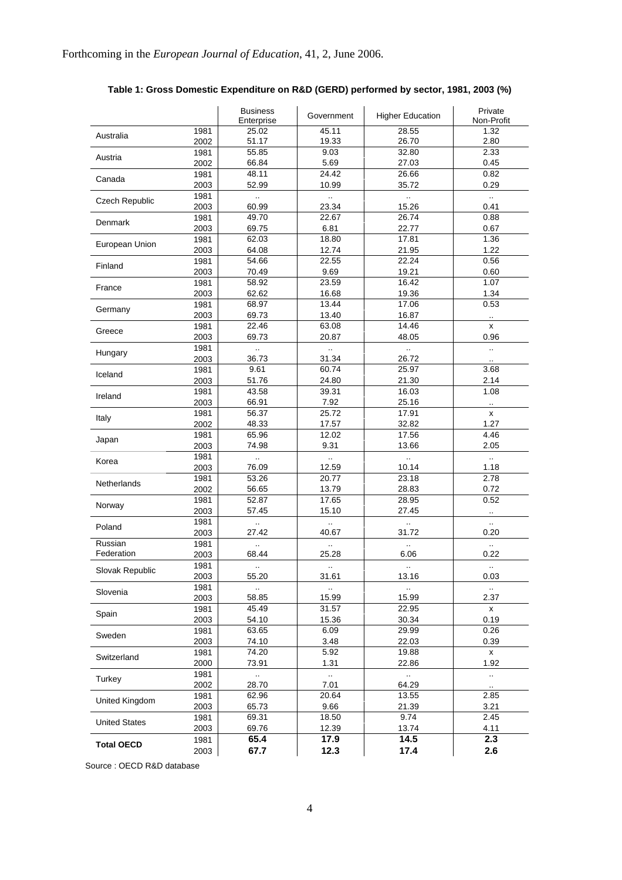|                      |      | <b>Business</b><br>Enterprise | Government                  | <b>Higher Education</b> | Private<br>Non-Profit |
|----------------------|------|-------------------------------|-----------------------------|-------------------------|-----------------------|
|                      | 1981 | 25.02                         | 45.11                       | 28.55                   | 1.32                  |
| Australia            | 2002 | 51.17                         | 19.33                       | 26.70                   | 2.80                  |
|                      | 1981 | 55.85                         | 9.03                        | 32.80                   | 2.33                  |
| Austria              |      |                               | 5.69                        | 27.03                   | 0.45                  |
|                      | 2002 | 66.84                         |                             |                         | 0.82                  |
| Canada               | 1981 | 48.11                         | 24.42                       | 26.66                   |                       |
|                      | 2003 | 52.99                         | 10.99                       | 35.72                   | 0.29                  |
| Czech Republic       | 1981 | $\mathbb{R}^2$                | $\mathbf{r}$                | $\ddot{\phantom{a}}$    | $\ddot{\phantom{a}}$  |
|                      | 2003 | 60.99                         | 23.34                       | 15.26                   | 0.41                  |
| Denmark              | 1981 | 49.70                         | 22.67                       | 26.74                   | 0.88                  |
|                      | 2003 | 69.75                         | 6.81                        | 22.77                   | 0.67                  |
| European Union       | 1981 | 62.03                         | 18.80                       | 17.81                   | 1.36                  |
|                      | 2003 | 64.08                         | 12.74                       | 21.95                   | 1.22                  |
|                      | 1981 | 54.66                         | 22.55                       | 22.24                   | 0.56                  |
| Finland              | 2003 | 70.49                         | 9.69                        | 19.21                   | 0.60                  |
|                      | 1981 | 58.92                         | 23.59                       | 16.42                   | 1.07                  |
| France               | 2003 | 62.62                         | 16.68                       | 19.36                   | 1.34                  |
|                      | 1981 | 68.97                         | 13.44                       | 17.06                   | 0.53                  |
| Germany              | 2003 | 69.73                         | 13.40                       | 16.87                   |                       |
|                      | 1981 | 22.46                         | 63.08                       | 14.46                   | x                     |
| Greece               |      | 69.73                         |                             |                         |                       |
|                      | 2003 |                               | 20.87                       | 48.05                   | 0.96                  |
| Hungary              | 1981 | $\ddot{\phantom{1}}$          | $\mathcal{L}_{\mathcal{A}}$ | $\mathbb{R}^2$          | $\ddot{\phantom{a}}$  |
|                      | 2003 | 36.73                         | 31.34                       | 26.72                   | $\ddotsc$             |
| Iceland              | 1981 | 9.61                          | 60.74                       | 25.97                   | 3.68                  |
|                      | 2003 | 51.76                         | 24.80                       | 21.30                   | 2.14                  |
| Ireland              | 1981 | 43.58                         | 39.31                       | 16.03                   | 1.08                  |
|                      | 2003 | 66.91                         | 7.92                        | 25.16                   |                       |
| Italy                | 1981 | 56.37                         | 25.72                       | 17.91                   | x                     |
|                      | 2002 | 48.33                         | 17.57                       | 32.82                   | 1.27                  |
| Japan                | 1981 | 65.96                         | 12.02                       | 17.56                   | 4.46                  |
|                      | 2003 | 74.98                         | 9.31                        | 13.66                   | 2.05                  |
|                      | 1981 | $\ddotsc$                     | $\ddotsc$                   | ă,                      | $\ddot{\phantom{a}}$  |
| Korea                | 2003 | 76.09                         | 12.59                       | 10.14                   | 1.18                  |
|                      | 1981 | 53.26                         | 20.77                       | 23.18                   | 2.78                  |
| Netherlands          | 2002 | 56.65                         | 13.79                       | 28.83                   | 0.72                  |
|                      | 1981 | 52.87                         | 17.65                       | 28.95                   | 0.52                  |
| Norway               | 2003 |                               | 15.10                       | 27.45                   |                       |
|                      |      | 57.45                         |                             |                         | $\ddotsc$             |
| Poland               | 1981 | $\mathbb{R}^2$                | ä.                          | $\ddot{\phantom{a}}$    | $\ddot{\phantom{a}}$  |
|                      | 2003 | 27.42                         | 40.67                       | 31.72                   | 0.20                  |
| Russian              | 1981 | $\ddotsc$                     | $\mathbb{Z}^2$              | $\ddotsc$               | $\ddotsc$             |
| Federation           | 2003 | 68.44                         | 25.28                       | 6.06                    | 0.22                  |
| Slovak Republic      | 1981 | $\ddotsc$                     | $\ddot{\phantom{a}}$        | $\ddotsc$               | $\ddot{\phantom{a}}$  |
|                      | 2003 | 55.20                         | 31.61                       | 13.16                   | 0.03                  |
| Slovenia             | 1981 | $\ddotsc$                     |                             | $\ddotsc$               | $\ddot{\phantom{a}}$  |
|                      | 2003 | 58.85                         | 15.99                       | 15.99                   | 2.37                  |
|                      | 1981 | 45.49                         | 31.57                       | 22.95                   | x                     |
| Spain                | 2003 | 54.10                         | 15.36                       | 30.34                   | 0.19                  |
|                      | 1981 | 63.65                         | 6.09                        | 29.99                   | 0.26                  |
| Sweden               | 2003 | 74.10                         | 3.48                        | 22.03                   | 0.39                  |
|                      | 1981 | 74.20                         | 5.92                        | 19.88                   | X                     |
| Switzerland          | 2000 | 73.91                         | 1.31                        | 22.86                   | 1.92                  |
|                      |      |                               |                             |                         |                       |
| Turkey               | 1981 | $\ddotsc$                     | $\sim$                      | $\ddotsc$               | $\ddotsc$             |
|                      | 2002 | 28.70                         | 7.01                        | 64.29                   | $\ddotsc$             |
| United Kingdom       | 1981 | 62.96                         | 20.64                       | 13.55                   | 2.85                  |
|                      | 2003 | 65.73                         | 9.66                        | 21.39                   | 3.21                  |
| <b>United States</b> | 1981 | 69.31                         | 18.50                       | 9.74                    | 2.45                  |
|                      | 2003 | 69.76                         | 12.39                       | 13.74                   | 4.11                  |
| <b>Total OECD</b>    | 1981 | 65.4                          | 17.9                        | 14.5                    | 2.3                   |
|                      | 2003 | 67.7                          | 12.3                        | 17.4                    | 2.6                   |

**Table 1: Gross Domestic Expenditure on R&D (GERD) performed by sector, 1981, 2003 (%)** 

Source : OECD R&D database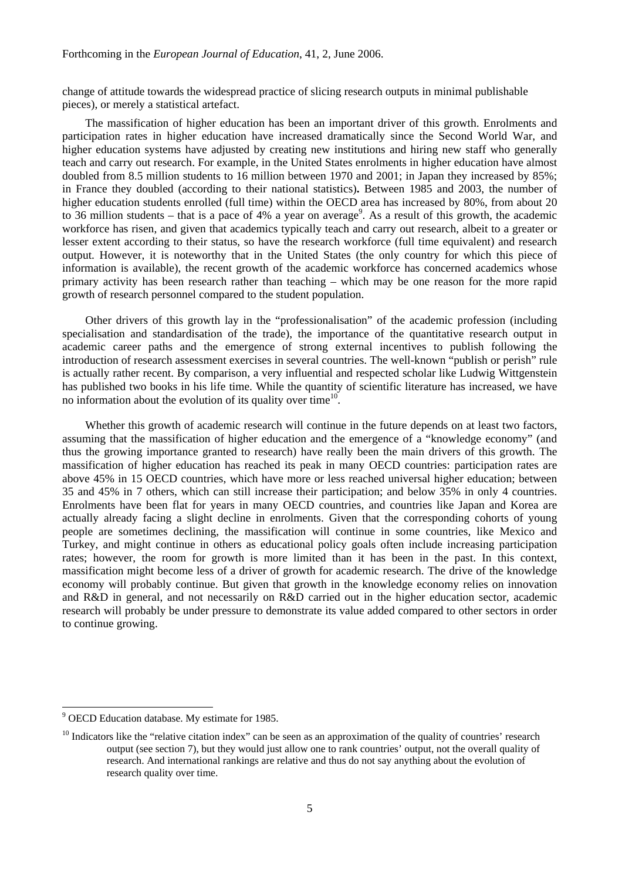change of attitude towards the widespread practice of slicing research outputs in minimal publishable pieces), or merely a statistical artefact.

The massification of higher education has been an important driver of this growth. Enrolments and participation rates in higher education have increased dramatically since the Second World War, and higher education systems have adjusted by creating new institutions and hiring new staff who generally teach and carry out research. For example, in the United States enrolments in higher education have almost doubled from 8.5 million students to 16 million between 1970 and 2001; in Japan they increased by 85%; in France they doubled (according to their national statistics)**.** Between 1985 and 2003, the number of higher education students enrolled (full time) within the OECD area has increased by 80%, from about 20 to 36 million students – that is a pace of 4% a year on average<sup>[9](#page-4-0)</sup>. As a result of this growth, the academic workforce has risen, and given that academics typically teach and carry out research, albeit to a greater or lesser extent according to their status, so have the research workforce (full time equivalent) and research output. However, it is noteworthy that in the United States (the only country for which this piece of information is available), the recent growth of the academic workforce has concerned academics whose primary activity has been research rather than teaching – which may be one reason for the more rapid growth of research personnel compared to the student population.

Other drivers of this growth lay in the "professionalisation" of the academic profession (including specialisation and standardisation of the trade), the importance of the quantitative research output in academic career paths and the emergence of strong external incentives to publish following the introduction of research assessment exercises in several countries. The well-known "publish or perish" rule is actually rather recent. By comparison, a very influential and respected scholar like Ludwig Wittgenstein has published two books in his life time. While the quantity of scientific literature has increased, we have no information about the evolution of its quality over time<sup>10</sup>.

Whether this growth of academic research will continue in the future depends on at least two factors, assuming that the massification of higher education and the emergence of a "knowledge economy" (and thus the growing importance granted to research) have really been the main drivers of this growth. The massification of higher education has reached its peak in many OECD countries: participation rates are above 45% in 15 OECD countries, which have more or less reached universal higher education; between 35 and 45% in 7 others, which can still increase their participation; and below 35% in only 4 countries. Enrolments have been flat for years in many OECD countries, and countries like Japan and Korea are actually already facing a slight decline in enrolments. Given that the corresponding cohorts of young people are sometimes declining, the massification will continue in some countries, like Mexico and Turkey, and might continue in others as educational policy goals often include increasing participation rates; however, the room for growth is more limited than it has been in the past. In this context, massification might become less of a driver of growth for academic research. The drive of the knowledge economy will probably continue. But given that growth in the knowledge economy relies on innovation and R&D in general, and not necessarily on R&D carried out in the higher education sector, academic research will probably be under pressure to demonstrate its value added compared to other sectors in order to continue growing.

<span id="page-4-0"></span><sup>-&</sup>lt;br>9 <sup>9</sup> OECD Education database. My estimate for 1985.

<span id="page-4-1"></span> $10$  Indicators like the "relative citation index" can be seen as an approximation of the quality of countries' research output (see section 7), but they would just allow one to rank countries' output, not the overall quality of research. And international rankings are relative and thus do not say anything about the evolution of research quality over time.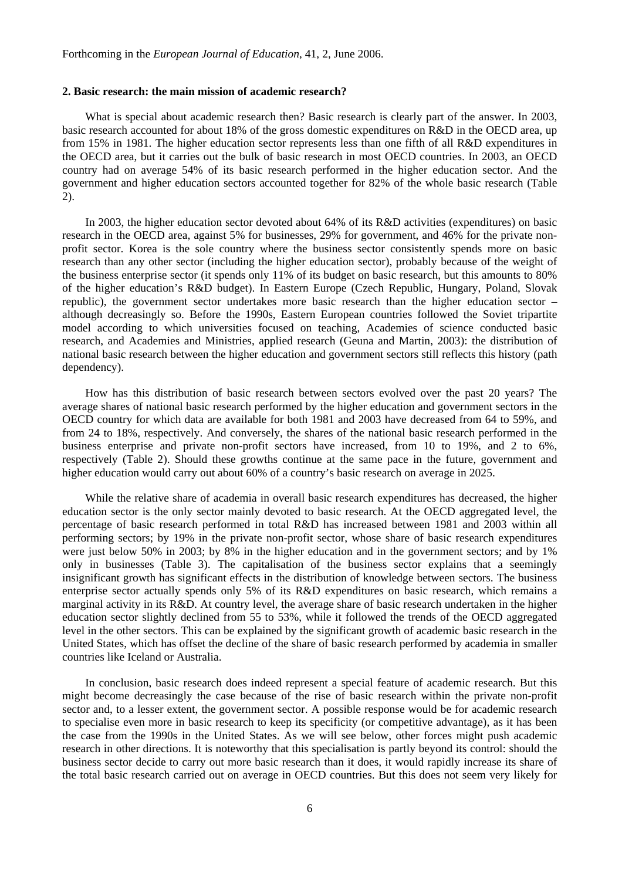### **2. Basic research: the main mission of academic research?**

What is special about academic research then? Basic research is clearly part of the answer. In 2003, basic research accounted for about 18% of the gross domestic expenditures on R&D in the OECD area, up from 15% in 1981. The higher education sector represents less than one fifth of all R&D expenditures in the OECD area, but it carries out the bulk of basic research in most OECD countries. In 2003, an OECD country had on average 54% of its basic research performed in the higher education sector. And the government and higher education sectors accounted together for 82% of the whole basic research (Table 2).

In 2003, the higher education sector devoted about 64% of its R&D activities (expenditures) on basic research in the OECD area, against 5% for businesses, 29% for government, and 46% for the private nonprofit sector. Korea is the sole country where the business sector consistently spends more on basic research than any other sector (including the higher education sector), probably because of the weight of the business enterprise sector (it spends only 11% of its budget on basic research, but this amounts to 80% of the higher education's R&D budget). In Eastern Europe (Czech Republic, Hungary, Poland, Slovak republic), the government sector undertakes more basic research than the higher education sector – although decreasingly so. Before the 1990s, Eastern European countries followed the Soviet tripartite model according to which universities focused on teaching, Academies of science conducted basic research, and Academies and Ministries, applied research (Geuna and Martin, 2003): the distribution of national basic research between the higher education and government sectors still reflects this history (path dependency).

How has this distribution of basic research between sectors evolved over the past 20 years? The average shares of national basic research performed by the higher education and government sectors in the OECD country for which data are available for both 1981 and 2003 have decreased from 64 to 59%, and from 24 to 18%, respectively. And conversely, the shares of the national basic research performed in the business enterprise and private non-profit sectors have increased, from 10 to 19%, and 2 to 6%, respectively (Table 2). Should these growths continue at the same pace in the future, government and higher education would carry out about 60% of a country's basic research on average in 2025.

While the relative share of academia in overall basic research expenditures has decreased, the higher education sector is the only sector mainly devoted to basic research. At the OECD aggregated level, the percentage of basic research performed in total R&D has increased between 1981 and 2003 within all performing sectors; by 19% in the private non-profit sector, whose share of basic research expenditures were just below 50% in 2003; by 8% in the higher education and in the government sectors; and by 1% only in businesses (Table 3). The capitalisation of the business sector explains that a seemingly insignificant growth has significant effects in the distribution of knowledge between sectors. The business enterprise sector actually spends only 5% of its R&D expenditures on basic research, which remains a marginal activity in its R&D. At country level, the average share of basic research undertaken in the higher education sector slightly declined from 55 to 53%, while it followed the trends of the OECD aggregated level in the other sectors. This can be explained by the significant growth of academic basic research in the United States, which has offset the decline of the share of basic research performed by academia in smaller countries like Iceland or Australia.

In conclusion, basic research does indeed represent a special feature of academic research. But this might become decreasingly the case because of the rise of basic research within the private non-profit sector and, to a lesser extent, the government sector. A possible response would be for academic research to specialise even more in basic research to keep its specificity (or competitive advantage), as it has been the case from the 1990s in the United States. As we will see below, other forces might push academic research in other directions. It is noteworthy that this specialisation is partly beyond its control: should the business sector decide to carry out more basic research than it does, it would rapidly increase its share of the total basic research carried out on average in OECD countries. But this does not seem very likely for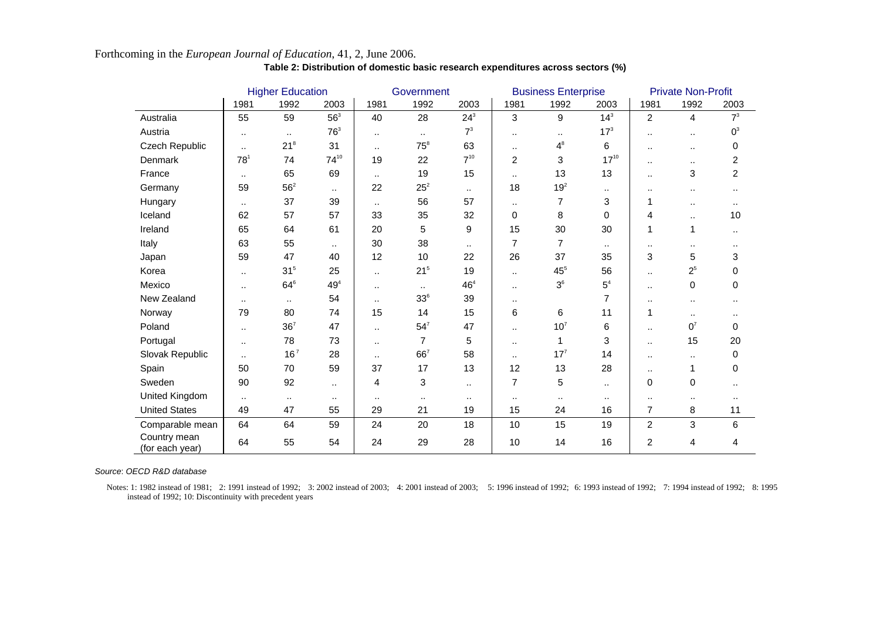**Table 2: Distribution of domestic basic research expenditures across sectors (%)** 

|                                 | <b>Higher Education</b> |                 |                 | Government           |                 | <b>Business Enterprise</b> |           |                 | <b>Private Non-Profit</b> |                |                      |                      |
|---------------------------------|-------------------------|-----------------|-----------------|----------------------|-----------------|----------------------------|-----------|-----------------|---------------------------|----------------|----------------------|----------------------|
|                                 | 1981                    | 1992            | 2003            | 1981                 | 1992            | 2003                       | 1981      | 1992            | 2003                      | 1981           | 1992                 | 2003                 |
| Australia                       | 55                      | 59              | $56^3$          | 40                   | 28              | $24^{3}$                   | 3         | 9               | $14^{3}$                  | $\overline{2}$ | 4                    | 7 <sup>3</sup>       |
| Austria                         | $\cdot$ .               | $\ldots$        | 76 <sup>3</sup> | $\ddot{\phantom{a}}$ |                 | 7 <sup>3</sup>             | ٠.        |                 | $17^{3}$                  |                |                      | $0^3$                |
| Czech Republic                  | $\cdot$ .               | $21^8$          | 31              | $\ldots$             | $75^8$          | 63                         | $\cdot$ . | $4^8$           | 6                         |                |                      | 0                    |
| Denmark                         | 78 <sup>1</sup>         | 74              | $74^{10}$       | 19                   | 22              | $7^{10}$                   | 2         | 3               | $17^{10}$                 |                |                      | 2                    |
| France                          | $\cdot$ .               | 65              | 69              | $\ddotsc$            | 19              | 15                         |           | 13              | 13                        |                | 3                    | $\overline{c}$       |
| Germany                         | 59                      | $56^{\circ}$    | $\ddotsc$       | 22                   | $25^2$          | $\ddotsc$                  | 18        | $19^{2}$        | $\ldots$                  |                | ٠.                   | $\cdot$ .            |
| Hungary                         | $\cdot$ .               | 37              | 39              | $\ldots$             | 56              | 57                         |           | 7               | 3                         |                |                      | $\ldots$             |
| Iceland                         | 62                      | 57              | 57              | 33                   | 35              | 32                         | 0         | 8               | 0                         | 4              |                      | 10                   |
| Ireland                         | 65                      | 64              | 61              | 20                   | 5               | 9                          | 15        | 30              | 30                        |                | 1                    | $\cdot$ .            |
| Italy                           | 63                      | 55              | $\ddotsc$       | 30                   | 38              | $\ddot{\phantom{1}}$       | 7         | 7               | $\ldots$                  | $\ddotsc$      | $\ddot{\phantom{a}}$ | $\ddot{\phantom{a}}$ |
| Japan                           | 59                      | 47              | 40              | 12                   | 10              | 22                         | 26        | 37              | 35                        | 3              | 5                    | 3                    |
| Korea                           |                         | 31 <sup>5</sup> | 25              | $\ddotsc$            | 21 <sup>5</sup> | 19                         |           | 45 <sup>5</sup> | 56                        |                | 2 <sup>5</sup>       | 0                    |
| Mexico                          | $\cdot$ .               | $64^6$          | 49 <sup>4</sup> | $\ddotsc$            | $\cdot$ .       | 46 <sup>4</sup>            |           | 3 <sup>6</sup>  | $5^4$                     |                | 0                    | 0                    |
| New Zealand                     | $\cdot$ .               | $\ddotsc$       | 54              | $\cdot$ .            | $33^6$          | 39                         | ٠.        |                 | 7                         |                | ٠.                   | $\cdot$ .            |
| Norway                          | 79                      | 80              | 74              | 15                   | 14              | 15                         | 6         | 6               | 11                        | 1              |                      | $\cdots$             |
| Poland                          | $\cdot$ .               | 36 <sup>7</sup> | 47              | $\ddotsc$            | $54^7$          | 47                         |           | 10 <sup>7</sup> | 6                         |                | $0^7$                | 0                    |
| Portugal                        | $\cdot$ .               | 78              | 73              | $\cdot$ .            | $\overline{7}$  | 5                          | ٠.        | 1               | 3                         |                | 15                   | 20                   |
| Slovak Republic                 | $\cdot$ .               | 16 <sup>7</sup> | 28              | $\ldots$             | $66^7$          | 58                         | $\cdot$ . | $17^{7}$        | 14                        |                |                      | 0                    |
| Spain                           | 50                      | 70              | 59              | 37                   | 17              | 13                         | 12        | 13              | 28                        |                | 1                    | 0                    |
| Sweden                          | 90                      | 92              |                 | 4                    | 3               | $\ddot{\phantom{1}}$       | 7         | 5               | $\ldots$                  | 0              | 0                    | $\ddot{\phantom{a}}$ |
| United Kingdom                  | ٠.                      | $\ddotsc$       |                 | $\cdot$ .            |                 | $\cdots$                   |           | $\cdot$ .       | $\ddotsc$                 |                | ٠.                   | $\cdot$ .            |
| <b>United States</b>            | 49                      | 47              | 55              | 29                   | 21              | 19                         | 15        | 24              | 16                        | $\overline{7}$ | 8                    | 11                   |
| Comparable mean                 | 64                      | 64              | 59              | 24                   | 20              | 18                         | 10        | 15              | 19                        | $\overline{2}$ | 3                    | 6                    |
| Country mean<br>(for each year) | 64                      | 55              | 54              | 24                   | 29              | 28                         | 10        | 14              | 16                        | $\overline{2}$ | 4                    | 4                    |

#### *Source*: *OECD R&D database*

Notes: 1: 1982 instead of 1981; 2: 1991 instead of 1992; 3: 2002 instead of 2003; 4: 2001 instead of 2003; 5: 1996 instead of 1992; 6: 1993 instead of 1992; 7: 1994 instead of 1992; 8: 1995 instead of 1992; 10: Discontinuity with precedent years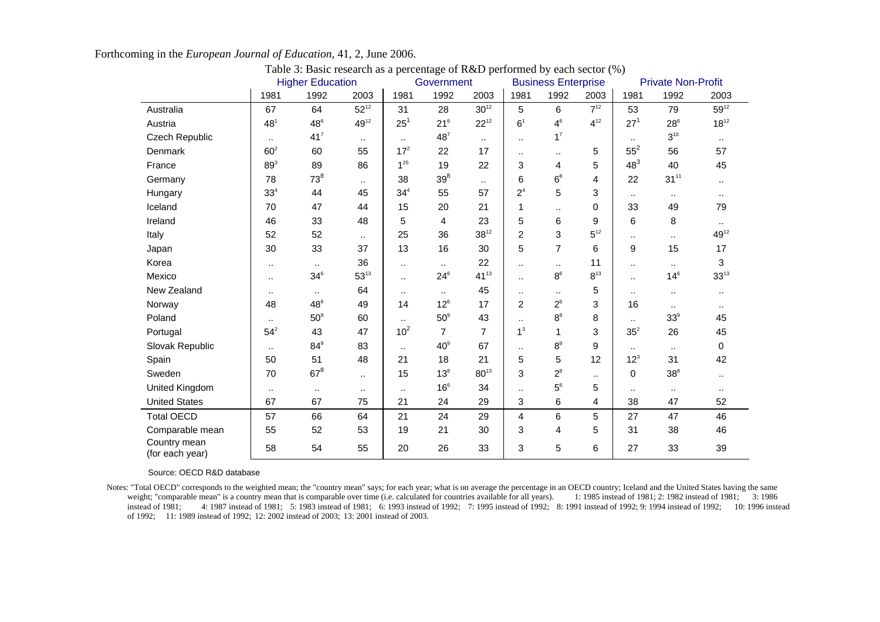Table 3: Basic research as a percentage of R&D performed by each sector (%)

|                                 | <b>Higher Education</b> |                      |                      | Government      |                 |                      | <b>Business Enterprise</b> |                      |          | <b>Private Non-Profit</b> |           |           |
|---------------------------------|-------------------------|----------------------|----------------------|-----------------|-----------------|----------------------|----------------------------|----------------------|----------|---------------------------|-----------|-----------|
|                                 | 1981                    | 1992                 | 2003                 | 1981            | 1992            | 2003                 | 1981                       | 1992                 | 2003     | 1981                      | 1992      | 2003      |
| Australia                       | 67                      | 64                   | $52^{12}$            | 31              | 28              | $30^{12}$            | 5                          | 6                    | $7^{12}$ | 53                        | 79        | $59^{12}$ |
| Austria                         | $48^{1}$                | $48^{\circ}$         | $49^{12}$            | $25^1$          | $21^6$          | $22^{12}$            | 6 <sup>1</sup>             | $4^6$                | $4^{12}$ | $27^{1}$                  | $28^6$    | $18^{12}$ |
| Czech Republic                  | $\ldots$                | 41 <sup>7</sup>      | $\sim$               | $\sim$          | $48^{7}$        | $\ldots$             | $\cdot$ .                  | 1 <sup>7</sup>       |          | $\ddot{\phantom{a}}$      | $3^{10}$  | $\ddotsc$ |
| Denmark                         | 60 <sup>2</sup>         | 60                   | 55                   | 17 <sup>2</sup> | 22              | 17                   | $\cdot$ .                  | $\ddot{\phantom{1}}$ | 5        | $55^2$                    | 56        | 57        |
| France                          | $89^3$                  | 89                   | 86                   | $1^{25}$        | 19              | 22                   | 3                          | 4                    | 5        | $48^{3}$                  | 40        | 45        |
| Germany                         | 78                      | $73^8$               | $\ddot{\phantom{1}}$ | 38              | $39^8$          | $\ddot{\phantom{a}}$ | 6                          | $6^8$                | 4        | 22                        | $31^{11}$ | $\ddotsc$ |
| Hungary                         | 33 <sup>4</sup>         | 44                   | 45                   | 34 <sup>4</sup> | 55              | 57                   | 2 <sup>4</sup>             | 5                    | 3        | $\ldots$                  | $\cdot$ . |           |
| Iceland                         | 70                      | 47                   | 44                   | 15              | 20              | 21                   | $\mathbf{1}$               | $\ddot{\phantom{a}}$ | 0        | 33                        | 49        | 79        |
| Ireland                         | 46                      | 33                   | 48                   | 5               | 4               | 23                   | 5                          | 6                    | 9        | 6                         | 8         | $\cdots$  |
| Italy                           | 52                      | 52                   | $\ddot{\phantom{1}}$ | 25              | 36              | $38^{12}$            | $\overline{2}$             | 3                    | $5^{12}$ | $\cdot$ .                 | ٠.        | $49^{12}$ |
| Japan                           | 30                      | 33                   | 37                   | 13              | 16              | 30                   | 5                          | $\overline{7}$       | 6        | 9                         | 15        | 17        |
| Korea                           |                         | $\cdot$ .            | 36                   | $\cdot$ .       | $\cdot$ .       | 22                   | $\cdot$ .                  | $\ddot{\phantom{1}}$ | 11       | $\cdot$ .                 | $\cdots$  | 3         |
| Mexico                          |                         | $34^6$               | $53^{13}$            | $\ddotsc$       | $24^{6}$        | $41^{13}$            | $\cdot$ .                  | 8 <sup>6</sup>       | $8^{13}$ | $\cdot$ .                 | $14^{6}$  | $33^{13}$ |
| New Zealand                     | $\cdot$ .               | $\cdots$             | 64                   | $\ldots$        | $\cdot$ .       | 45                   | $\cdot$ .                  | $\cdot$ .            | 5        | $\cdot$ .                 | ٠.        | $\ldots$  |
| Norway                          | 48                      | $48^6$               | 49                   | 14              | $12^6$          | 17                   | 2                          | $2^6$                | 3        | 16                        | $\ddotsc$ |           |
| Poland                          | $\ddotsc$               | $50^{\circ}$         | 60                   | $\cdot$ .       | $50^9$          | 43                   | $\cdot$ .                  | 8 <sup>9</sup>       | 8        | $\ldots$                  | $33^9$    | 45        |
| Portugal                        | $54^2$                  | 43                   | 47                   | 10 <sup>2</sup> | $\overline{7}$  | $\overline{7}$       | 1 <sup>3</sup>             | 1                    | 3        | $35^2$                    | 26        | 45        |
| Slovak Republic                 | $\ddot{\phantom{a}}$    | $84^{\circ}$         | 83                   | $\ldots$        | $40^9$          | 67                   | $\cdot$ .                  | 8 <sup>9</sup>       | 9        | $\cdot$ .                 | $\ldots$  | 0         |
| Spain                           | 50                      | 51                   | 48                   | 21              | 18              | 21                   | 5                          | 5                    | 12       | $12^{3}$                  | 31        | 42        |
| Sweden                          | 70                      | $67^8$               | $\ddot{\phantom{1}}$ | 15              | $13^{8}$        | $80^{13}$            | 3                          | $2^8$                |          | 0                         | $38^8$    | н.        |
| United Kingdom                  |                         | $\ddot{\phantom{1}}$ | $\ldots$             | $\ldots$        | 16 <sup>6</sup> | 34                   | $\cdot$ .                  | $5^6$                | 5        | $\cdot$ .                 | ٠.        |           |
| <b>United States</b>            | 67                      | 67                   | 75                   | 21              | 24              | 29                   | 3                          | 6                    | 4        | 38                        | 47        | 52        |
| <b>Total OECD</b>               | 57                      | 66                   | 64                   | 21              | 24              | 29                   | 4                          | 6                    | 5        | 27                        | 47        | 46        |
| Comparable mean                 | 55                      | 52                   | 53                   | 19              | 21              | 30                   | 3                          | 4                    | 5        | 31                        | 38        | 46        |
| Country mean<br>(for each year) | 58                      | 54                   | 55                   | 20              | 26              | 33                   | 3                          | 5                    | 6        | 27                        | 33        | 39        |

Source: OECD R&D database

Notes: "Total OECD" corresponds to the weighted mean; the "country mean" says; for each year; what is on average the percentage in an OECD country; Iceland and the United States having the same weight; "comparable mean" is a country mean that is comparable over time (i.e. calculated for countries available for all years). 1: 1985 instead of 1981; 2: 1982 instead of 1981; 3: 1986 instead of 1981; 4: 1987 instead of 1981; 5: 1983 instead of 1981; 6: 1993 instead of 1992; 7: 1995 instead of 1992; 8: 1991 instead of 1992; 9: 1994 instead of 1992; 10: 1996 instead of 1992; 11: 1989 instead of 1992; 12: 2002 instead of 2003; 13: 2001 instead of 2003.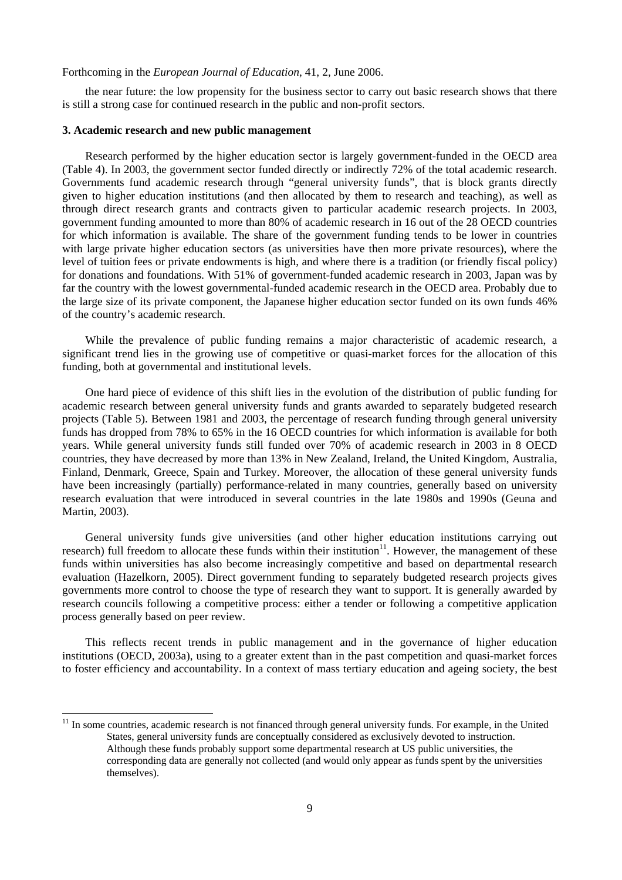the near future: the low propensity for the business sector to carry out basic research shows that there is still a strong case for continued research in the public and non-profit sectors.

### **3. Academic research and new public management**

Research performed by the higher education sector is largely government-funded in the OECD area (Table 4). In 2003, the government sector funded directly or indirectly 72% of the total academic research. Governments fund academic research through "general university funds", that is block grants directly given to higher education institutions (and then allocated by them to research and teaching), as well as through direct research grants and contracts given to particular academic research projects. In 2003, government funding amounted to more than 80% of academic research in 16 out of the 28 OECD countries for which information is available. The share of the government funding tends to be lower in countries with large private higher education sectors (as universities have then more private resources), where the level of tuition fees or private endowments is high, and where there is a tradition (or friendly fiscal policy) for donations and foundations. With 51% of government-funded academic research in 2003, Japan was by far the country with the lowest governmental-funded academic research in the OECD area. Probably due to the large size of its private component, the Japanese higher education sector funded on its own funds 46% of the country's academic research.

While the prevalence of public funding remains a major characteristic of academic research, a significant trend lies in the growing use of competitive or quasi-market forces for the allocation of this funding, both at governmental and institutional levels.

One hard piece of evidence of this shift lies in the evolution of the distribution of public funding for academic research between general university funds and grants awarded to separately budgeted research projects (Table 5). Between 1981 and 2003, the percentage of research funding through general university funds has dropped from 78% to 65% in the 16 OECD countries for which information is available for both years. While general university funds still funded over 70% of academic research in 2003 in 8 OECD countries, they have decreased by more than 13% in New Zealand, Ireland, the United Kingdom, Australia, Finland, Denmark, Greece, Spain and Turkey. Moreover, the allocation of these general university funds have been increasingly (partially) performance-related in many countries, generally based on university research evaluation that were introduced in several countries in the late 1980s and 1990s (Geuna and Martin, 2003).

General university funds give universities (and other higher education institutions carrying out research) full freedom to allocate these funds within their institution<sup>11</sup>. However, the management of these funds within universities has also become increasingly competitive and based on departmental research evaluation (Hazelkorn, 2005). Direct government funding to separately budgeted research projects gives governments more control to choose the type of research they want to support. It is generally awarded by research councils following a competitive process: either a tender or following a competitive application process generally based on peer review.

This reflects recent trends in public management and in the governance of higher education institutions (OECD, 2003a), using to a greater extent than in the past competition and quasi-market forces to foster efficiency and accountability. In a context of mass tertiary education and ageing society, the best

<span id="page-8-0"></span><sup>&</sup>lt;sup>11</sup> In some countries, academic research is not financed through general university funds. For example, in the United States, general university funds are conceptually considered as exclusively devoted to instruction. Although these funds probably support some departmental research at US public universities, the corresponding data are generally not collected (and would only appear as funds spent by the universities themselves).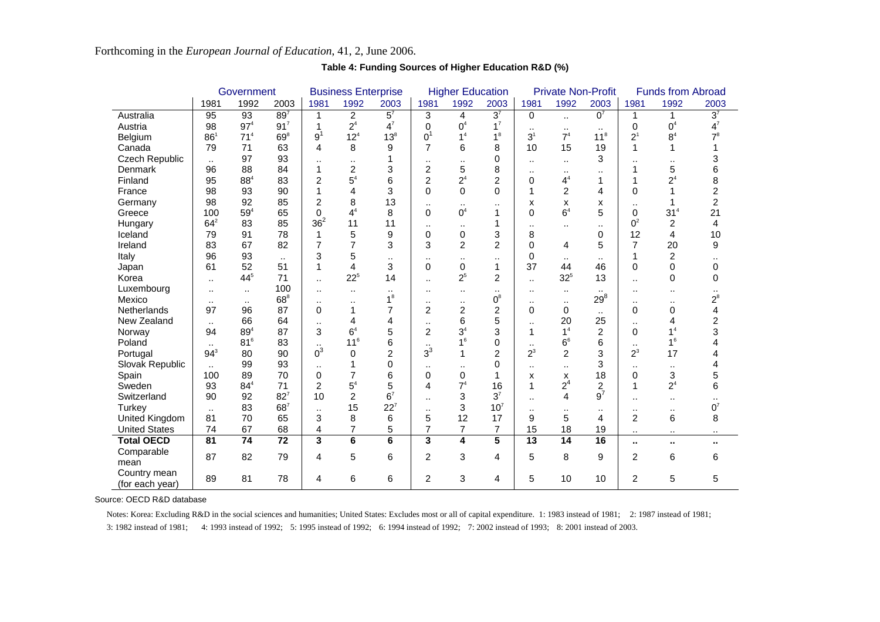| Table 4: Funding Sources of Higher Education R&D (%) |  |
|------------------------------------------------------|--|
|------------------------------------------------------|--|

|                                 | Government           |                      |                      | <b>Business Enterprise</b> |                         | <b>Higher Education</b> |                         |                | <b>Private Non-Profit</b> |                           |                      | <b>Funds from Abroad</b> |                      |                           |                         |
|---------------------------------|----------------------|----------------------|----------------------|----------------------------|-------------------------|-------------------------|-------------------------|----------------|---------------------------|---------------------------|----------------------|--------------------------|----------------------|---------------------------|-------------------------|
|                                 | 1981                 | 1992                 | 2003                 | 1981                       | 1992                    | 2003                    | 1981                    | 1992           | 2003                      | 1981                      | 1992                 | 2003                     | 1981                 | 1992                      | 2003                    |
| Australia                       | 95                   | 93                   | 89 <sup>7</sup>      | $\mathbf{1}$               | 2                       | $\overline{5^7}$        | 3                       | 4              | 3 <sup>7</sup>            | $\mathbf 0$               | $\ddot{\phantom{a}}$ | $\overline{0^7}$         | $\mathbf{1}$         | 1                         | 3 <sup>7</sup>          |
| Austria                         | 98                   | 97 <sup>4</sup>      | $91^7$               | $\mathbf{1}$               | 2 <sup>4</sup>          | $4^7$                   | $\Omega$                | 0 <sup>4</sup> | $1^7$                     | $\ldots$                  | $\ddotsc$            | $\ddot{\phantom{a}}$     | 0                    | 0 <sup>4</sup>            | $4^7$                   |
| Belgium                         | 86 <sup>1</sup>      | 71 <sup>4</sup>      | $69^8$               | 9 <sup>1</sup>             | $12^{4}$                | $13^8$                  | 0 <sup>1</sup>          | 1 <sup>4</sup> | 1 <sup>8</sup>            | 3 <sup>1</sup>            | 7 <sup>4</sup>       | $11^{8}$                 | $2^1$                | 8 <sup>4</sup>            | $7^8$                   |
| Canada                          | 79                   | 71                   | 63                   | $\overline{\mathbf{4}}$    | 8                       | 9                       | $\overline{7}$          | 6              | 8                         | 10                        | 15                   | 19                       | 1                    | 1                         |                         |
| Czech Republic                  |                      | 97                   | 93                   | $\ddotsc$                  | $\ddot{\phantom{a}}$    | 1                       | $\ddotsc$               |                | 0                         |                           | $\cdots$             | 3                        |                      |                           | 3                       |
| Denmark                         | 96                   | 88                   | 84                   | $\mathbf{1}$               | $\overline{c}$          | 3                       | $\overline{2}$          | 5              | 8                         | $\ddot{\phantom{a}}$      | $\ddotsc$            | $\ldots$                 | 1                    | 5                         | 6                       |
| Finland                         | 95                   | 88 <sup>4</sup>      | 83                   | $\overline{2}$             | ${\bf 5}^4$             | 6                       | $\overline{2}$          | 2 <sup>4</sup> | $\overline{c}$            | $\mathbf 0$               | 4 <sup>4</sup>       | 1                        | 1                    | 2 <sup>4</sup>            | 8                       |
| France                          | 98                   | 93                   | 90                   | $\mathbf 1$                | $\overline{4}$          | 3                       | $\Omega$                | $\Omega$       | $\overline{0}$            | $\mathbf{1}$              | $\overline{c}$       | 4                        | 0                    |                           | $\overline{\mathbf{c}}$ |
| Germany                         | 98                   | 92                   | 85                   | $\overline{2}$             | 8                       | 13                      | $\ddot{\phantom{a}}$    | $\ddotsc$      |                           | $\boldsymbol{\mathsf{x}}$ | X                    | X                        |                      | 1                         | $\overline{c}$          |
| Greece                          | 100                  | 59 <sup>4</sup>      | 65                   | 0                          | 4 <sup>4</sup>          | 8                       | $\Omega$                | 0 <sup>4</sup> | 1                         | $\mathbf 0$               | 6 <sup>4</sup>       | 5                        | $\mathbf 0$          | 31 <sup>4</sup>           | 21                      |
| Hungary                         | $64^2$               | 83                   | 85                   | $36^2$                     | 11                      | 11                      | $\ddot{\phantom{a}}$    | $\ddotsc$      | 1                         | $\ddot{\phantom{a}}$      | $\ddotsc$            | $\ddotsc$                | 0 <sup>2</sup>       | $\overline{c}$            | 4                       |
| Iceland                         | 79                   | 91                   | 78                   | 1                          | 5                       | 9                       | 0                       | 0              | 3                         | 8                         |                      | 0                        | 12                   | 4                         | 10                      |
| Ireland                         | 83                   | 67                   | 82                   | $\overline{7}$             | $\overline{7}$          | 3                       | 3                       | $\overline{c}$ | $\overline{c}$            | $\Omega$                  | 4                    | 5                        | $\overline{7}$       | 20                        | 9                       |
| Italy                           | 96                   | 93                   | $\ddot{\phantom{a}}$ | 3                          | 5                       | $\cdot$ .               | $\ddot{\phantom{a}}$    | $\ddotsc$      | $\cdot$ .                 | $\mathbf 0$               | $\ddotsc$            | $\ddotsc$                | 1                    | $\overline{c}$            |                         |
| Japan                           | 61                   | 52                   | 51                   | $\mathbf{1}$               | $\overline{\mathbf{4}}$ | 3                       | $\Omega$                | $\mathbf 0$    | 1                         | 37                        | 44                   | 46                       | 0                    | $\Omega$                  | $\mathbf 0$             |
| Korea                           | $\ddot{\phantom{a}}$ | 445                  | 71                   | $\ddotsc$                  | $22^{5}$                | 14                      | $\ddotsc$               | 2 <sup>5</sup> | $\overline{c}$            | $\ddotsc$                 | 32 <sup>5</sup>      | 13                       | н.                   | $\Omega$                  | $\mathbf 0$             |
| Luxembourg                      | $\ddot{\phantom{a}}$ | $\cdots$             | 100                  | $\cdot$ .                  | $\ddot{\phantom{a}}$    | $\cdot$ .               | $\ddot{\phantom{a}}$    | $\ddotsc$      | $\cdot$ .                 |                           | $\cdots$             | $\cdots$                 |                      | $\cdot$ .                 |                         |
| Mexico                          | $\ddotsc$            | $\ddot{\phantom{a}}$ | $68^8$               | $\cdot$ .                  | $\cdot$ .               | 1 <sup>8</sup>          | $\cdot$ .               | $\cdot$ .      | $0^8$                     | $\ddot{\phantom{a}}$      | $\ldots$             | $29^8$                   |                      |                           | $2^8$                   |
| Netherlands                     | 97                   | 96                   | 87                   | 0                          | 1                       | $\overline{7}$          | $\overline{2}$          | 2              | $\overline{c}$            | $\mathbf 0$               | 0                    | $\ddot{\phantom{a}}$     | 0                    | $\mathbf 0$               | 4                       |
| New Zealand                     | $\ddot{\phantom{a}}$ | 66                   | 64                   | $\ddot{\phantom{a}}$       | 4                       | 4                       | $\cdot$ .               | 6              | 5                         | $\ddot{\phantom{a}}$      | 20                   | 25                       | ٠.                   | 4                         | $\overline{c}$          |
| Norway                          | 94                   | 89 <sup>4</sup>      | 87                   | 3                          | 6 <sup>4</sup>          | 5                       | $\overline{2}$          | 3 <sup>4</sup> | 3                         | 1                         | 1 <sup>4</sup>       | $\overline{2}$           | 0                    | 1 <sup>4</sup>            | 3                       |
| Poland                          | $\ddotsc$            | 81 <sup>6</sup>      | 83                   | $\cdot$ .                  | 11 <sup>6</sup>         | 6                       | $\cdot$ .               | 1 <sup>6</sup> | 0                         | $\ddot{\phantom{a}}$      | 6 <sup>6</sup>       | 6                        | $\ddotsc$            | 1 <sup>6</sup>            | 4                       |
| Portugal                        | $94^{3}$             | 80                   | 90                   | $0^3$                      | $\mathbf 0$             | $\overline{2}$          | 3 <sup>3</sup>          | 1              | $\overline{2}$            | $2^3$                     | $\overline{c}$       | 3                        | $2^3$                | 17                        | 4                       |
| Slovak Republic                 | $\ddot{\phantom{a}}$ | 99                   | 93                   | $\cdot$ .                  | 1                       | $\mathbf 0$             | $\ddot{\phantom{a}}$    | $\cdot$ .      | 0                         |                           | $\ddotsc$            | 3                        |                      |                           | 4                       |
| Spain                           | 100                  | 89                   | 70                   | 0                          | $\overline{7}$          | 6                       | 0                       | 0              | 1                         | X                         | x                    | 18                       | 0                    | $\ensuremath{\mathsf{3}}$ | 5                       |
| Sweden                          | 93                   | $84^{4}$             | 71                   | $\overline{2}$             | $5^4$                   | 5                       | $\overline{\mathbf{4}}$ | 7 <sup>4</sup> | 16                        | $\mathbf{1}$              | 2 <sup>4</sup>       | $\overline{c}$           | 1                    | 2 <sup>4</sup>            | 6                       |
| Switzerland                     | 90                   | 92                   | $82^{7}$             | 10                         | $\overline{c}$          | $6^7$                   | $\ddot{\phantom{a}}$    | 3              | $3^7$                     | $\ddot{\phantom{a}}$      | $\overline{4}$       | $\overline{9}^7$         | $\ddot{\phantom{a}}$ |                           |                         |
| Turkey                          | $\cdot$ .            | 83                   | $68^7$               | $\cdot$ .                  | 15                      | $22^7$                  | $\ddot{\phantom{a}}$    | 3              | 10 <sup>7</sup>           | $\ddotsc$                 | $\cdot$ .            | $\ldots$                 |                      |                           | $0^7$                   |
| United Kingdom                  | 81                   | 70                   | 65                   | 3                          | 8                       | 6                       | 5                       | 12             | 17                        | 9                         | 5                    | 4                        | $\overline{2}$       | 6                         | 8                       |
| <b>United States</b>            | 74                   | 67                   | 68                   | 4                          | $\overline{7}$          | 5                       | $\overline{7}$          | $\overline{7}$ | $\overline{7}$            | 15                        | 18                   | 19                       |                      |                           |                         |
| <b>Total OECD</b>               | 81                   | 74                   | $\overline{72}$      | 3                          | 6                       | 6                       | 3                       | 4              | $\overline{\mathbf{5}}$   | $\overline{13}$           | 14                   | $\overline{16}$          | ٠.                   | ٠.                        | ۰.                      |
| Comparable                      | 87                   | 82                   | 79                   | 4                          | 5                       | 6                       | $\overline{2}$          | 3              | 4                         | 5                         | 8                    | 9                        | $\overline{2}$       | 6                         | 6                       |
| mean                            |                      |                      |                      |                            |                         |                         |                         |                |                           |                           |                      |                          |                      |                           |                         |
| Country mean<br>(for each year) | 89                   | 81                   | 78                   | 4                          | 6                       | 6                       | 2                       | 3              | 4                         | 5                         | 10                   | 10                       | $\overline{2}$       | 5                         | 5                       |

Source: OECD R&D database

Notes: Korea: Excluding R&D in the social sciences and humanities; United States: Excludes most or all of capital expenditure. 1: 1983 instead of 1981; 2: 1987 instead of 1981; 3: 1982 instead of 1981; 4: 1993 instead of 1992; 5: 1995 instead of 1992; 6: 1994 instead of 1992; 7: 2002 instead of 1993; 8: 2001 instead of 2003.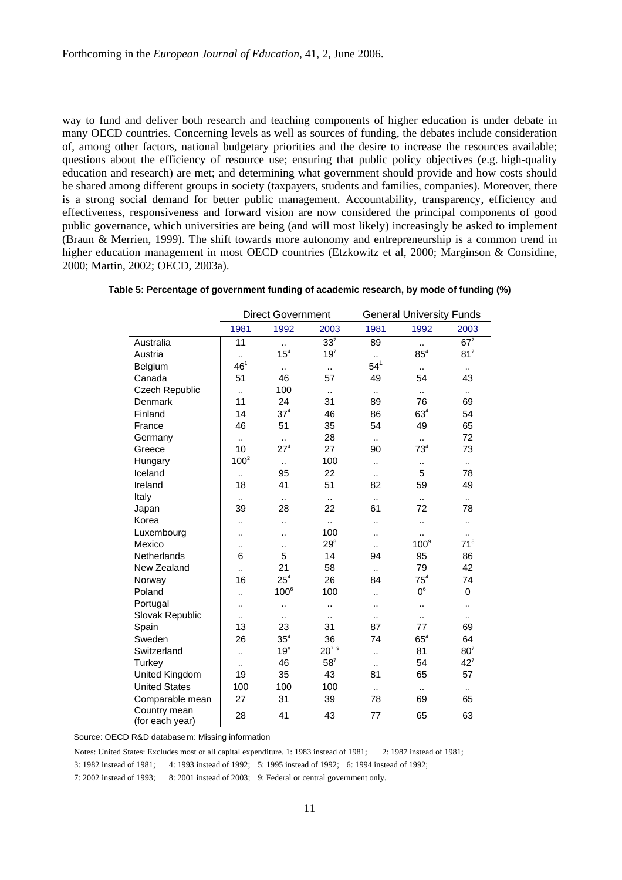way to fund and deliver both research and teaching components of higher education is under debate in many OECD countries. Concerning levels as well as sources of funding, the debates include consideration of, among other factors, national budgetary priorities and the desire to increase the resources available; questions about the efficiency of resource use; ensuring that public policy objectives (e.g. high-quality education and research) are met; and determining what government should provide and how costs should be shared among different groups in society (taxpayers, students and families, companies). Moreover, there is a strong social demand for better public management. Accountability, transparency, efficiency and effectiveness, responsiveness and forward vision are now considered the principal components of good public governance, which universities are being (and will most likely) increasingly be asked to implement (Braun & Merrien, 1999). The shift towards more autonomy and entrepreneurship is a common trend in higher education management in most OECD countries (Etzkowitz et al, 2000; Marginson & Considine, 2000; Martin, 2002; OECD, 2003a).

|                                 |                      | <b>Direct Government</b> |                      | <b>General University Funds</b> |                      |                      |  |
|---------------------------------|----------------------|--------------------------|----------------------|---------------------------------|----------------------|----------------------|--|
|                                 | 1981                 | 1992                     | 2003                 | 1981                            | 1992                 | 2003                 |  |
| Australia                       | 11                   | ä.                       | $33^7$               | 89                              | ä.                   | $67^7$               |  |
| Austria                         | $\ddotsc$            | 15 <sup>4</sup>          | $19^{7}$             |                                 | 85 <sup>4</sup>      | $81^7$               |  |
| Belgium                         | 46 <sup>1</sup>      | Ω.                       | Ω.                   | $54^{1}$                        | Ω.                   |                      |  |
| Canada                          | 51                   | 46                       | 57                   | 49                              | 54                   | 43                   |  |
| <b>Czech Republic</b>           | $\ddotsc$            | 100                      | $\ddot{\phantom{a}}$ |                                 | Ω                    |                      |  |
| Denmark                         | 11                   | 24                       | 31                   | 89                              | 76                   | 69                   |  |
| Finland                         | 14                   | 37 <sup>4</sup>          | 46                   | 86                              | $63^{4}$             | 54                   |  |
| France                          | 46                   | 51                       | 35                   | 54                              | 49                   | 65                   |  |
| Germany                         | $\ddot{\phantom{a}}$ | $\ddot{\phantom{a}}$     | 28                   | ä.                              | $\ddot{\phantom{a}}$ | 72                   |  |
| Greece                          | 10                   | 27 <sup>4</sup>          | 27                   | 90                              | 73 <sup>4</sup>      | 73                   |  |
| Hungary                         | $100^{2}$            | ä.                       | 100                  |                                 | ٠.                   | Ω.                   |  |
| Iceland                         | Ω.                   | 95                       | 22                   | $\ddot{\phantom{a}}$            | 5                    | 78                   |  |
| Ireland                         | 18                   | 41                       | 51                   | 82                              | 59                   | 49                   |  |
| Italy                           | $\ddot{\phantom{0}}$ | ٠.                       | ٠.                   |                                 | Ω.                   | $\ddot{\phantom{a}}$ |  |
| Japan                           | 39                   | 28                       | 22                   | 61                              | 72                   | 78                   |  |
| Korea                           |                      | $\ddot{\phantom{a}}$     |                      |                                 | .,                   |                      |  |
| Luxembourg                      | ٠.                   | ٠.                       | 100                  | Ω.                              | $\ddot{\phantom{a}}$ | $\ddotsc$            |  |
| Mexico                          | Ω.                   | .,                       | $29^8$               |                                 | $100^\circ$          | 71 <sup>8</sup>      |  |
| Netherlands                     | 6                    | 5                        | 14                   | 94                              | 95                   | 86                   |  |
| New Zealand                     | Ω.                   | 21                       | 58                   |                                 | 79                   | 42                   |  |
| Norway                          | 16                   | 25 <sup>4</sup>          | 26                   | 84                              | 75 <sup>4</sup>      | 74                   |  |
| Poland                          | ä.                   | 100 <sup>6</sup>         | 100                  | Ω.                              | $0^6$                | 0                    |  |
| Portugal                        | ٠.                   | $\ddot{\phantom{0}}$     | .,                   |                                 | ٠.                   |                      |  |
| Slovak Republic                 |                      | ä.                       | Ω.                   | Ω.                              | ä.                   | ٠.                   |  |
| Spain                           | 13                   | 23                       | 31                   | 87                              | 77                   | 69                   |  |
| Sweden                          | 26                   | $35^4$                   | 36                   | 74                              | $65^4$               | 64                   |  |
| Switzerland                     | ä.                   | $19^{#}$                 | $20^{7,9}$           | Ω.                              | 81                   | 80 <sup>7</sup>      |  |
| Turkey                          | Ω.                   | 46                       | $58^7$               |                                 | 54                   | $42^{7}$             |  |
| United Kingdom                  | 19                   | 35                       | 43                   | 81                              | 65                   | 57                   |  |
| <b>United States</b>            | 100                  | 100                      | 100                  | Ω.                              |                      | $\ddot{\phantom{a}}$ |  |
| Comparable mean                 | 27                   | 31                       | 39                   | 78                              | 69                   | 65                   |  |
| Country mean<br>(for each year) | 28                   | 41                       | 43                   | 77                              | 65                   | 63                   |  |

#### **Table 5: Percentage of government funding of academic research, by mode of funding (%)**

Source: OECD R&D database m: Missing information

Notes: United States: Excludes most or all capital expenditure. 1: 1983 instead of 1981; 2: 1987 instead of 1981;

3: 1982 instead of 1981; 4: 1993 instead of 1992; 5: 1995 instead of 1992; 6: 1994 instead of 1992;

7: 2002 instead of 1993; 8: 2001 instead of 2003; 9: Federal or central government only.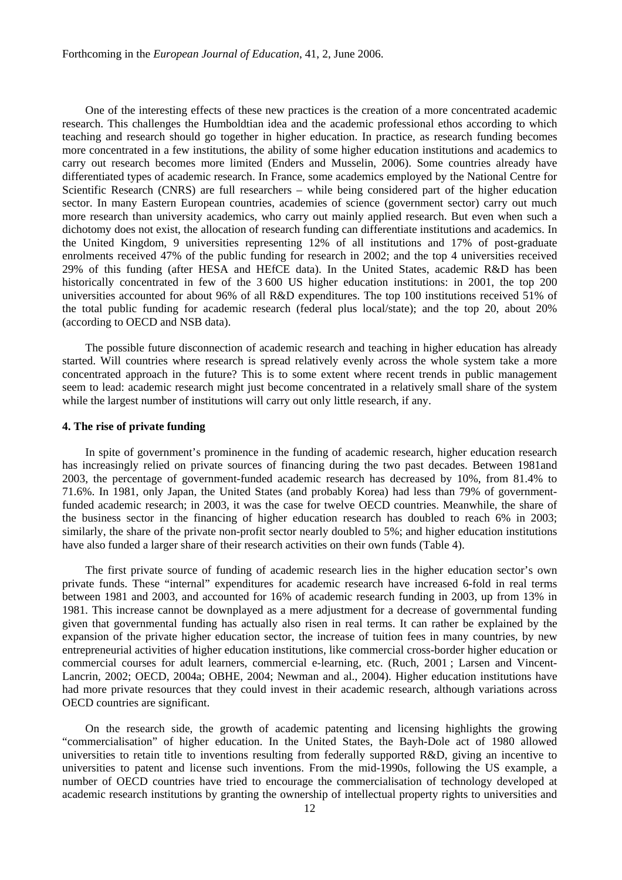One of the interesting effects of these new practices is the creation of a more concentrated academic research. This challenges the Humboldtian idea and the academic professional ethos according to which teaching and research should go together in higher education. In practice, as research funding becomes more concentrated in a few institutions, the ability of some higher education institutions and academics to carry out research becomes more limited (Enders and Musselin, 2006). Some countries already have differentiated types of academic research. In France, some academics employed by the National Centre for Scientific Research (CNRS) are full researchers – while being considered part of the higher education sector. In many Eastern European countries, academies of science (government sector) carry out much more research than university academics, who carry out mainly applied research. But even when such a dichotomy does not exist, the allocation of research funding can differentiate institutions and academics. In the United Kingdom, 9 universities representing 12% of all institutions and 17% of post-graduate enrolments received 47% of the public funding for research in 2002; and the top 4 universities received 29% of this funding (after HESA and HEfCE data). In the United States, academic R&D has been historically concentrated in few of the 3 600 US higher education institutions: in 2001, the top 200 universities accounted for about 96% of all R&D expenditures. The top 100 institutions received 51% of the total public funding for academic research (federal plus local/state); and the top 20, about 20% (according to OECD and NSB data).

The possible future disconnection of academic research and teaching in higher education has already started. Will countries where research is spread relatively evenly across the whole system take a more concentrated approach in the future? This is to some extent where recent trends in public management seem to lead: academic research might just become concentrated in a relatively small share of the system while the largest number of institutions will carry out only little research, if any.

#### **4. The rise of private funding**

In spite of government's prominence in the funding of academic research, higher education research has increasingly relied on private sources of financing during the two past decades. Between 1981and 2003, the percentage of government-funded academic research has decreased by 10%, from 81.4% to 71.6%. In 1981, only Japan, the United States (and probably Korea) had less than 79% of governmentfunded academic research; in 2003, it was the case for twelve OECD countries. Meanwhile, the share of the business sector in the financing of higher education research has doubled to reach 6% in 2003; similarly, the share of the private non-profit sector nearly doubled to 5%; and higher education institutions have also funded a larger share of their research activities on their own funds (Table 4).

The first private source of funding of academic research lies in the higher education sector's own private funds. These "internal" expenditures for academic research have increased 6-fold in real terms between 1981 and 2003, and accounted for 16% of academic research funding in 2003, up from 13% in 1981. This increase cannot be downplayed as a mere adjustment for a decrease of governmental funding given that governmental funding has actually also risen in real terms. It can rather be explained by the expansion of the private higher education sector, the increase of tuition fees in many countries, by new entrepreneurial activities of higher education institutions, like commercial cross-border higher education or commercial courses for adult learners, commercial e-learning, etc. (Ruch, 2001 ; Larsen and Vincent-Lancrin, 2002; OECD, 2004a; OBHE, 2004; Newman and al., 2004). Higher education institutions have had more private resources that they could invest in their academic research, although variations across OECD countries are significant.

On the research side, the growth of academic patenting and licensing highlights the growing "commercialisation" of higher education. In the United States, the Bayh-Dole act of 1980 allowed universities to retain title to inventions resulting from federally supported R&D, giving an incentive to universities to patent and license such inventions. From the mid-1990s, following the US example, a number of OECD countries have tried to encourage the commercialisation of technology developed at academic research institutions by granting the ownership of intellectual property rights to universities and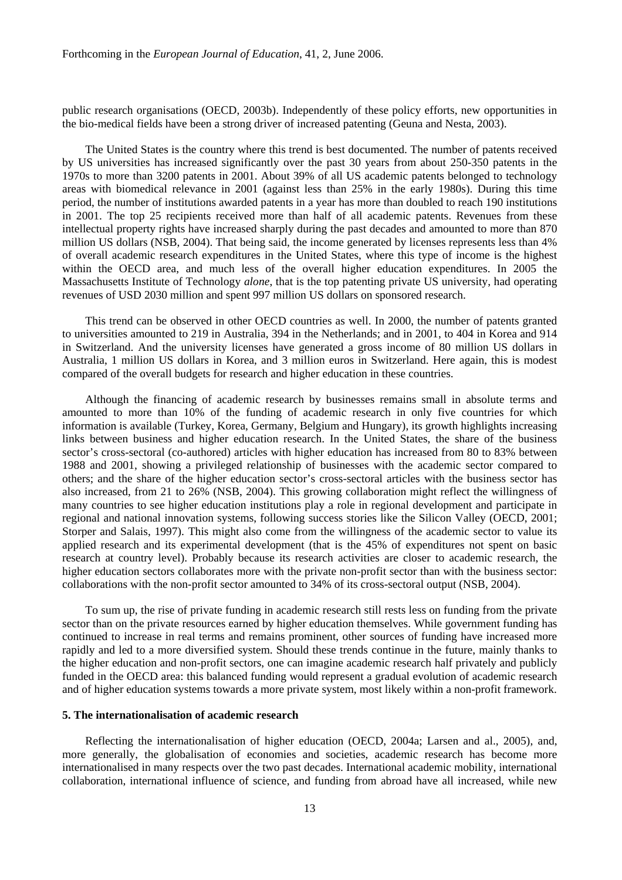public research organisations (OECD, 2003b). Independently of these policy efforts, new opportunities in the bio-medical fields have been a strong driver of increased patenting (Geuna and Nesta, 2003).

The United States is the country where this trend is best documented. The number of patents received by US universities has increased significantly over the past 30 years from about 250-350 patents in the 1970s to more than 3200 patents in 2001. About 39% of all US academic patents belonged to technology areas with biomedical relevance in 2001 (against less than 25% in the early 1980s). During this time period, the number of institutions awarded patents in a year has more than doubled to reach 190 institutions in 2001. The top 25 recipients received more than half of all academic patents. Revenues from these intellectual property rights have increased sharply during the past decades and amounted to more than 870 million US dollars (NSB, 2004). That being said, the income generated by licenses represents less than 4% of overall academic research expenditures in the United States, where this type of income is the highest within the OECD area, and much less of the overall higher education expenditures. In 2005 the Massachusetts Institute of Technology *alone*, that is the top patenting private US university, had operating revenues of USD 2030 million and spent 997 million US dollars on sponsored research.

This trend can be observed in other OECD countries as well. In 2000, the number of patents granted to universities amounted to 219 in Australia, 394 in the Netherlands; and in 2001, to 404 in Korea and 914 in Switzerland. And the university licenses have generated a gross income of 80 million US dollars in Australia, 1 million US dollars in Korea, and 3 million euros in Switzerland. Here again, this is modest compared of the overall budgets for research and higher education in these countries.

Although the financing of academic research by businesses remains small in absolute terms and amounted to more than 10% of the funding of academic research in only five countries for which information is available (Turkey, Korea, Germany, Belgium and Hungary), its growth highlights increasing links between business and higher education research. In the United States, the share of the business sector's cross-sectoral (co-authored) articles with higher education has increased from 80 to 83% between 1988 and 2001, showing a privileged relationship of businesses with the academic sector compared to others; and the share of the higher education sector's cross-sectoral articles with the business sector has also increased, from 21 to 26% (NSB, 2004). This growing collaboration might reflect the willingness of many countries to see higher education institutions play a role in regional development and participate in regional and national innovation systems, following success stories like the Silicon Valley (OECD, 2001; Storper and Salais, 1997). This might also come from the willingness of the academic sector to value its applied research and its experimental development (that is the 45% of expenditures not spent on basic research at country level). Probably because its research activities are closer to academic research, the higher education sectors collaborates more with the private non-profit sector than with the business sector: collaborations with the non-profit sector amounted to 34% of its cross-sectoral output (NSB, 2004).

To sum up, the rise of private funding in academic research still rests less on funding from the private sector than on the private resources earned by higher education themselves. While government funding has continued to increase in real terms and remains prominent, other sources of funding have increased more rapidly and led to a more diversified system. Should these trends continue in the future, mainly thanks to the higher education and non-profit sectors, one can imagine academic research half privately and publicly funded in the OECD area: this balanced funding would represent a gradual evolution of academic research and of higher education systems towards a more private system, most likely within a non-profit framework.

# **5. The internationalisation of academic research**

Reflecting the internationalisation of higher education (OECD, 2004a; Larsen and al., 2005), and, more generally, the globalisation of economies and societies, academic research has become more internationalised in many respects over the two past decades. International academic mobility, international collaboration, international influence of science, and funding from abroad have all increased, while new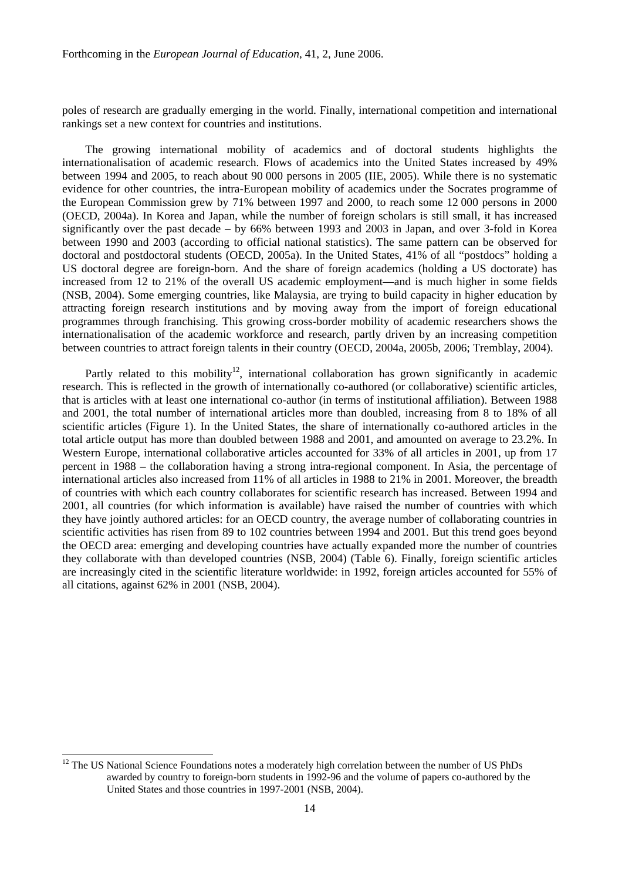poles of research are gradually emerging in the world. Finally, international competition and international rankings set a new context for countries and institutions.

The growing international mobility of academics and of doctoral students highlights the internationalisation of academic research. Flows of academics into the United States increased by 49% between 1994 and 2005, to reach about 90 000 persons in 2005 (IIE, 2005). While there is no systematic evidence for other countries, the intra-European mobility of academics under the Socrates programme of the European Commission grew by 71% between 1997 and 2000, to reach some 12 000 persons in 2000 (OECD, 2004a). In Korea and Japan, while the number of foreign scholars is still small, it has increased significantly over the past decade – by 66% between 1993 and 2003 in Japan, and over 3-fold in Korea between 1990 and 2003 (according to official national statistics). The same pattern can be observed for doctoral and postdoctoral students (OECD, 2005a). In the United States, 41% of all "postdocs" holding a US doctoral degree are foreign-born. And the share of foreign academics (holding a US doctorate) has increased from 12 to 21% of the overall US academic employment—and is much higher in some fields (NSB, 2004). Some emerging countries, like Malaysia, are trying to build capacity in higher education by attracting foreign research institutions and by moving away from the import of foreign educational programmes through franchising. This growing cross-border mobility of academic researchers shows the internationalisation of the academic workforce and research, partly driven by an increasing competition between countries to attract foreign talents in their country (OECD, 2004a, 2005b, 2006; Tremblay, 2004).

Partly related to this mobility<sup>12</sup>, international collaboration has grown significantly in academic research. This is reflected in the growth of internationally co-authored (or collaborative) scientific articles, that is articles with at least one international co-author (in terms of institutional affiliation). Between 1988 and 2001, the total number of international articles more than doubled, increasing from 8 to 18% of all scientific articles (Figure 1). In the United States, the share of internationally co-authored articles in the total article output has more than doubled between 1988 and 2001, and amounted on average to 23.2%. In Western Europe, international collaborative articles accounted for 33% of all articles in 2001, up from 17 percent in 1988 – the collaboration having a strong intra-regional component. In Asia, the percentage of international articles also increased from 11% of all articles in 1988 to 21% in 2001. Moreover, the breadth of countries with which each country collaborates for scientific research has increased. Between 1994 and 2001, all countries (for which information is available) have raised the number of countries with which they have jointly authored articles: for an OECD country, the average number of collaborating countries in scientific activities has risen from 89 to 102 countries between 1994 and 2001. But this trend goes beyond the OECD area: emerging and developing countries have actually expanded more the number of countries they collaborate with than developed countries (NSB, 2004) (Table 6). Finally, foreign scientific articles are increasingly cited in the scientific literature worldwide: in 1992, foreign articles accounted for 55% of all citations, against 62% in 2001 (NSB, 2004).

<span id="page-13-0"></span><sup>&</sup>lt;sup>12</sup> The US National Science Foundations notes a moderately high correlation between the number of US PhDs awarded by country to foreign-born students in 1992-96 and the volume of papers co-authored by the United States and those countries in 1997-2001 (NSB, 2004).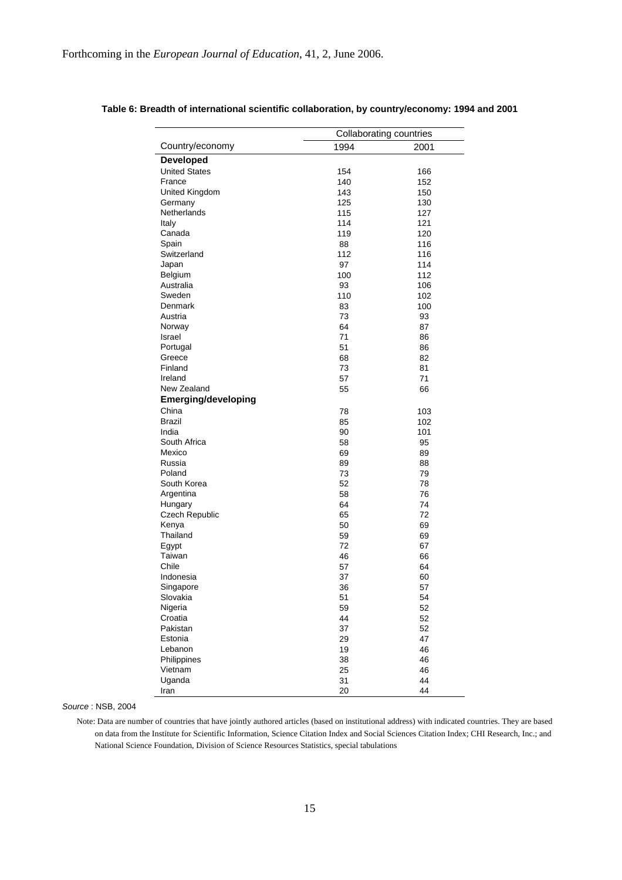|                            | Collaborating countries |            |  |  |  |  |
|----------------------------|-------------------------|------------|--|--|--|--|
| Country/economy            | 1994                    | 2001       |  |  |  |  |
| <b>Developed</b>           |                         |            |  |  |  |  |
| <b>United States</b>       | 154                     | 166        |  |  |  |  |
| France                     | 140                     | 152        |  |  |  |  |
| United Kingdom             | 143                     | 150        |  |  |  |  |
| Germany                    | 125                     | 130        |  |  |  |  |
| Netherlands                | 115                     | 127        |  |  |  |  |
| Italy                      | 114                     | 121        |  |  |  |  |
| Canada                     | 119                     | 120        |  |  |  |  |
| Spain                      | 88                      | 116        |  |  |  |  |
| Switzerland                | 112                     | 116        |  |  |  |  |
| Japan                      | 97                      | 114        |  |  |  |  |
| Belgium                    | 100                     | 112        |  |  |  |  |
| Australia                  | 93                      | 106        |  |  |  |  |
| Sweden                     | 110                     | 102        |  |  |  |  |
| Denmark                    | 83                      | 100        |  |  |  |  |
| Austria                    | 73                      | 93         |  |  |  |  |
| Norway                     | 64                      | 87         |  |  |  |  |
| Israel                     | 71                      | 86         |  |  |  |  |
| Portugal                   | 51                      | 86         |  |  |  |  |
| Greece                     | 68                      | 82         |  |  |  |  |
| Finland                    | 73                      | 81         |  |  |  |  |
| Ireland                    | 57                      | 71         |  |  |  |  |
| New Zealand                | 55                      | 66         |  |  |  |  |
| <b>Emerging/developing</b> |                         |            |  |  |  |  |
| China                      |                         |            |  |  |  |  |
| <b>Brazil</b>              | 78<br>85                | 103<br>102 |  |  |  |  |
| India                      |                         |            |  |  |  |  |
| South Africa               | 90<br>58                | 101<br>95  |  |  |  |  |
| Mexico                     |                         |            |  |  |  |  |
| Russia                     | 69<br>89                | 89         |  |  |  |  |
| Poland                     | 73                      | 88<br>79   |  |  |  |  |
| South Korea                | 52                      | 78         |  |  |  |  |
|                            |                         |            |  |  |  |  |
| Argentina                  | 58                      | 76         |  |  |  |  |
| Hungary<br>Czech Republic  | 64                      | 74         |  |  |  |  |
|                            | 65                      | 72         |  |  |  |  |
| Kenya<br>Thailand          | 50                      | 69         |  |  |  |  |
|                            | 59                      | 69         |  |  |  |  |
| Egypt                      | 72                      | 67         |  |  |  |  |
| Taiwan<br>Chile            | 46                      | 66         |  |  |  |  |
|                            | 57                      | 64         |  |  |  |  |
| Indonesia                  | 37                      | 60         |  |  |  |  |
| Singapore                  | 36                      | 57         |  |  |  |  |
| Slovakia                   | 51                      | 54         |  |  |  |  |
| Nigeria                    | 59                      | 52         |  |  |  |  |
| Croatia                    | 44                      | 52         |  |  |  |  |
| Pakistan                   | 37                      | 52         |  |  |  |  |
| Estonia                    | 29                      | 47         |  |  |  |  |
| Lebanon                    | 19                      | 46         |  |  |  |  |
| Philippines                | 38                      | 46         |  |  |  |  |
| Vietnam                    | 25                      | 46         |  |  |  |  |
| Uganda                     | 31                      | 44         |  |  |  |  |
| Iran                       | 20                      | 44         |  |  |  |  |

# **Table 6: Breadth of international scientific collaboration, by country/economy: 1994 and 2001**

*Source* : NSB, 2004

Note: Data are number of countries that have jointly authored articles (based on institutional address) with indicated countries. They are based on data from the Institute for Scientific Information, Science Citation Index and Social Sciences Citation Index; CHI Research, Inc.; and National Science Foundation, Division of Science Resources Statistics, special tabulations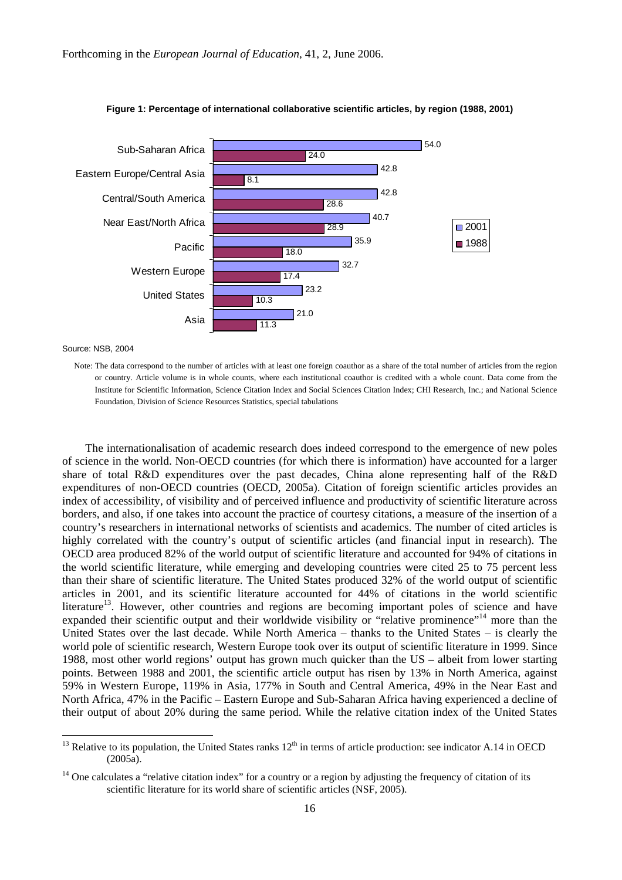

#### **Figure 1: Percentage of international collaborative scientific articles, by region (1988, 2001)**

#### Source: NSB, 2004

Note: The data correspond to the number of articles with at least one foreign coauthor as a share of the total number of articles from the region or country. Article volume is in whole counts, where each institutional coauthor is credited with a whole count. Data come from the Institute for Scientific Information, Science Citation Index and Social Sciences Citation Index; CHI Research, Inc.; and National Science Foundation, Division of Science Resources Statistics, special tabulations

The internationalisation of academic research does indeed correspond to the emergence of new poles of science in the world. Non-OECD countries (for which there is information) have accounted for a larger share of total R&D expenditures over the past decades, China alone representing half of the R&D expenditures of non-OECD countries (OECD, 2005a). Citation of foreign scientific articles provides an index of accessibility, of visibility and of perceived influence and productivity of scientific literature across borders, and also, if one takes into account the practice of courtesy citations, a measure of the insertion of a country's researchers in international networks of scientists and academics. The number of cited articles is highly correlated with the country's output of scientific articles (and financial input in research). The OECD area produced 82% of the world output of scientific literature and accounted for 94% of citations in the world scientific literature, while emerging and developing countries were cited 25 to 75 percent less than their share of scientific literature. The United States produced 32% of the world output of scientific articles in 2001, and its scientific literature accounted for 44% of citations in the world scientific literature<sup>13</sup>. However, other countries and regions are becoming important poles of science and have expanded their scientific output and their worldwide visibility or "relative prominence"<sup>[14](#page-15-1)</sup> more than the United States over the last decade. While North America – thanks to the United States – is clearly the world pole of scientific research, Western Europe took over its output of scientific literature in 1999. Since 1988, most other world regions' output has grown much quicker than the US – albeit from lower starting points. Between 1988 and 2001, the scientific article output has risen by 13% in North America, against 59% in Western Europe, 119% in Asia, 177% in South and Central America, 49% in the Near East and North Africa, 47% in the Pacific – Eastern Europe and Sub-Saharan Africa having experienced a decline of their output of about 20% during the same period. While the relative citation index of the United States

<span id="page-15-0"></span><sup>&</sup>lt;sup>13</sup> Relative to its population, the United States ranks  $12<sup>th</sup>$  in terms of article production: see indicator A.14 in OECD (2005a).

<span id="page-15-1"></span> $14$  One calculates a "relative citation index" for a country or a region by adjusting the frequency of citation of its scientific literature for its world share of scientific articles (NSF, 2005).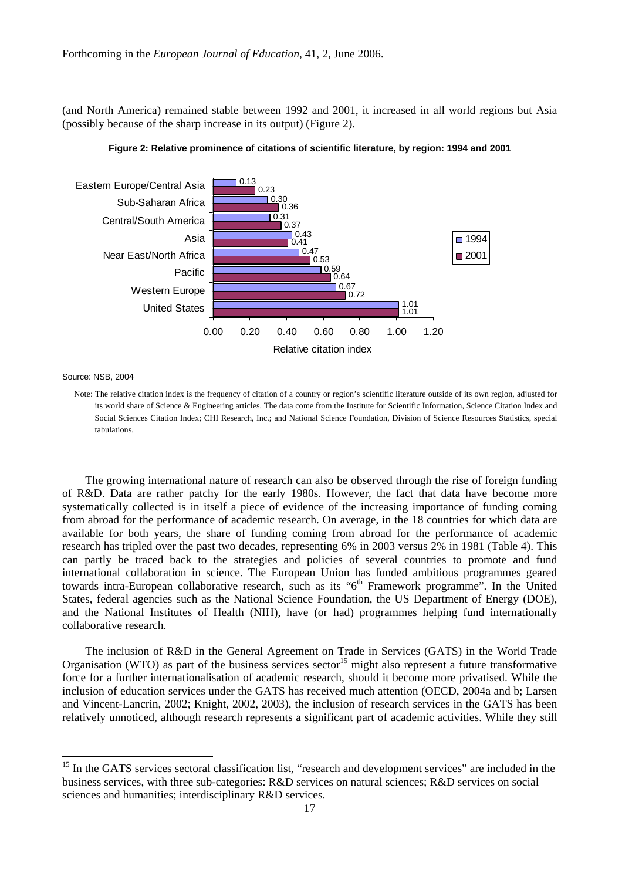(and North America) remained stable between 1992 and 2001, it increased in all world regions but Asia (possibly because of the sharp increase in its output) (Figure 2).





Source: NSB, 2004

Note: The relative citation index is the frequency of citation of a country or region's scientific literature outside of its own region, adjusted for its world share of Science & Engineering articles. The data come from the Institute for Scientific Information, Science Citation Index and Social Sciences Citation Index; CHI Research, Inc.; and National Science Foundation, Division of Science Resources Statistics, special tabulations.

The growing international nature of research can also be observed through the rise of foreign funding of R&D. Data are rather patchy for the early 1980s. However, the fact that data have become more systematically collected is in itself a piece of evidence of the increasing importance of funding coming from abroad for the performance of academic research. On average, in the 18 countries for which data are available for both years, the share of funding coming from abroad for the performance of academic research has tripled over the past two decades, representing 6% in 2003 versus 2% in 1981 (Table 4). This can partly be traced back to the strategies and policies of several countries to promote and fund international collaboration in science. The European Union has funded ambitious programmes geared towards intra-European collaborative research, such as its "6<sup>th</sup> Framework programme". In the United States, federal agencies such as the National Science Foundation, the US Department of Energy (DOE), and the National Institutes of Health (NIH), have (or had) programmes helping fund internationally collaborative research.

The inclusion of R&D in the General Agreement on Trade in Services (GATS) in the World Trade Organisation (WTO) as part of the business services sector<sup>15</sup> might also represent a future transformative force for a further internationalisation of academic research, should it become more privatised. While the inclusion of education services under the GATS has received much attention (OECD, 2004a and b; Larsen and Vincent-Lancrin, 2002; Knight, 2002, 2003), the inclusion of research services in the GATS has been relatively unnoticed, although research represents a significant part of academic activities. While they still

<span id="page-16-0"></span><sup>&</sup>lt;sup>15</sup> In the GATS services sectoral classification list, "research and development services" are included in the business services, with three sub-categories: R&D services on natural sciences; R&D services on social sciences and humanities; interdisciplinary R&D services.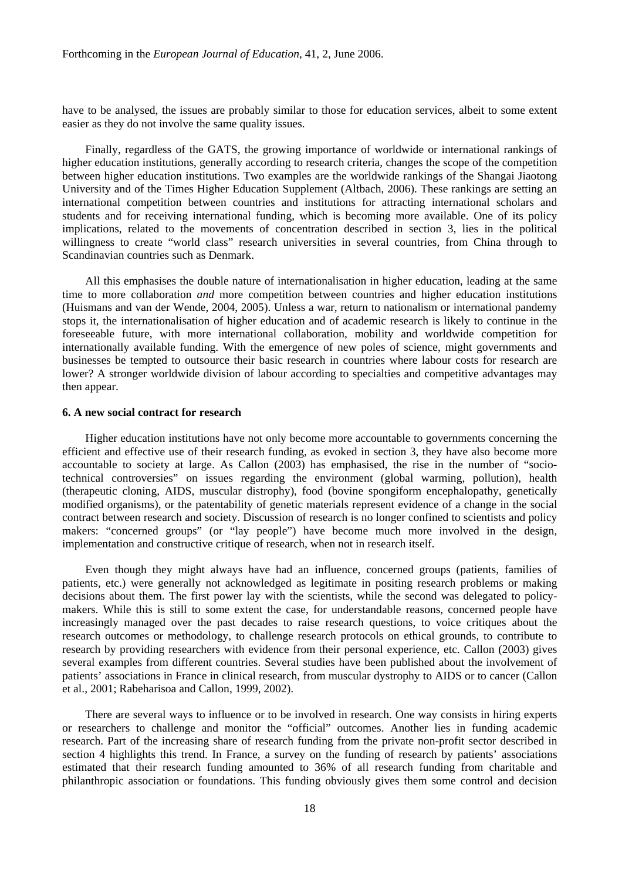have to be analysed, the issues are probably similar to those for education services, albeit to some extent easier as they do not involve the same quality issues.

Finally, regardless of the GATS, the growing importance of worldwide or international rankings of higher education institutions, generally according to research criteria, changes the scope of the competition between higher education institutions. Two examples are the worldwide rankings of the Shangai Jiaotong University and of the Times Higher Education Supplement (Altbach, 2006). These rankings are setting an international competition between countries and institutions for attracting international scholars and students and for receiving international funding, which is becoming more available. One of its policy implications, related to the movements of concentration described in section 3, lies in the political willingness to create "world class" research universities in several countries, from China through to Scandinavian countries such as Denmark.

All this emphasises the double nature of internationalisation in higher education, leading at the same time to more collaboration *and* more competition between countries and higher education institutions (Huismans and van der Wende, 2004, 2005). Unless a war, return to nationalism or international pandemy stops it, the internationalisation of higher education and of academic research is likely to continue in the foreseeable future, with more international collaboration, mobility and worldwide competition for internationally available funding. With the emergence of new poles of science, might governments and businesses be tempted to outsource their basic research in countries where labour costs for research are lower? A stronger worldwide division of labour according to specialties and competitive advantages may then appear.

### **6. A new social contract for research**

Higher education institutions have not only become more accountable to governments concerning the efficient and effective use of their research funding, as evoked in section 3, they have also become more accountable to society at large. As Callon (2003) has emphasised, the rise in the number of "sociotechnical controversies" on issues regarding the environment (global warming, pollution), health (therapeutic cloning, AIDS, muscular distrophy), food (bovine spongiform encephalopathy, genetically modified organisms), or the patentability of genetic materials represent evidence of a change in the social contract between research and society. Discussion of research is no longer confined to scientists and policy makers: "concerned groups" (or "lay people") have become much more involved in the design, implementation and constructive critique of research, when not in research itself.

Even though they might always have had an influence, concerned groups (patients, families of patients, etc.) were generally not acknowledged as legitimate in positing research problems or making decisions about them. The first power lay with the scientists, while the second was delegated to policymakers. While this is still to some extent the case, for understandable reasons, concerned people have increasingly managed over the past decades to raise research questions, to voice critiques about the research outcomes or methodology, to challenge research protocols on ethical grounds, to contribute to research by providing researchers with evidence from their personal experience, etc. Callon (2003) gives several examples from different countries. Several studies have been published about the involvement of patients' associations in France in clinical research, from muscular dystrophy to AIDS or to cancer (Callon et al., 2001; Rabeharisoa and Callon, 1999, 2002).

There are several ways to influence or to be involved in research. One way consists in hiring experts or researchers to challenge and monitor the "official" outcomes. Another lies in funding academic research. Part of the increasing share of research funding from the private non-profit sector described in section 4 highlights this trend. In France, a survey on the funding of research by patients' associations estimated that their research funding amounted to 36% of all research funding from charitable and philanthropic association or foundations. This funding obviously gives them some control and decision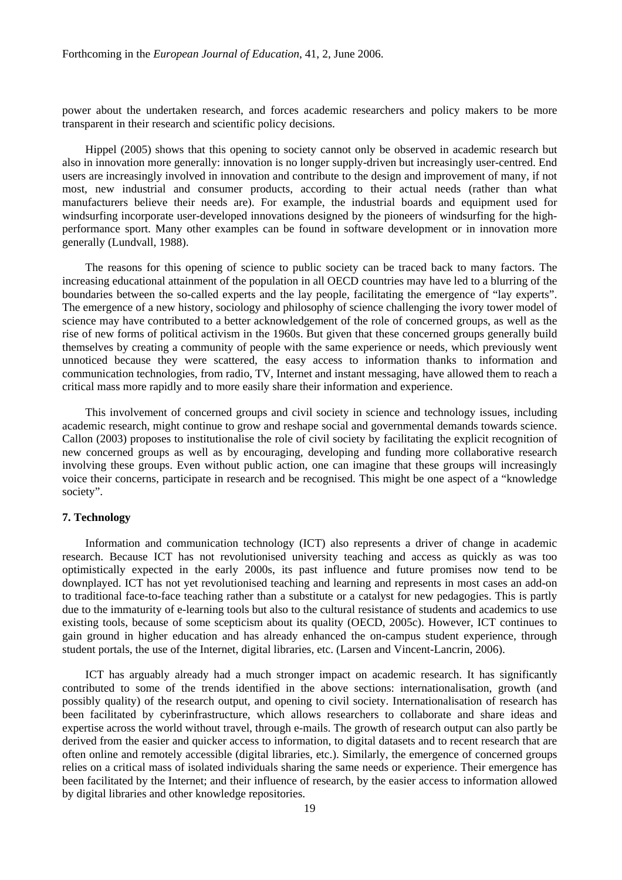power about the undertaken research, and forces academic researchers and policy makers to be more transparent in their research and scientific policy decisions.

Hippel (2005) shows that this opening to society cannot only be observed in academic research but also in innovation more generally: innovation is no longer supply-driven but increasingly user-centred. End users are increasingly involved in innovation and contribute to the design and improvement of many, if not most, new industrial and consumer products, according to their actual needs (rather than what manufacturers believe their needs are). For example, the industrial boards and equipment used for windsurfing incorporate user-developed innovations designed by the pioneers of windsurfing for the highperformance sport. Many other examples can be found in software development or in innovation more generally (Lundvall, 1988).

The reasons for this opening of science to public society can be traced back to many factors. The increasing educational attainment of the population in all OECD countries may have led to a blurring of the boundaries between the so-called experts and the lay people, facilitating the emergence of "lay experts". The emergence of a new history, sociology and philosophy of science challenging the ivory tower model of science may have contributed to a better acknowledgement of the role of concerned groups, as well as the rise of new forms of political activism in the 1960s. But given that these concerned groups generally build themselves by creating a community of people with the same experience or needs, which previously went unnoticed because they were scattered, the easy access to information thanks to information and communication technologies, from radio, TV, Internet and instant messaging, have allowed them to reach a critical mass more rapidly and to more easily share their information and experience.

This involvement of concerned groups and civil society in science and technology issues, including academic research, might continue to grow and reshape social and governmental demands towards science. Callon (2003) proposes to institutionalise the role of civil society by facilitating the explicit recognition of new concerned groups as well as by encouraging, developing and funding more collaborative research involving these groups. Even without public action, one can imagine that these groups will increasingly voice their concerns, participate in research and be recognised. This might be one aspect of a "knowledge society".

# **7. Technology**

Information and communication technology (ICT) also represents a driver of change in academic research. Because ICT has not revolutionised university teaching and access as quickly as was too optimistically expected in the early 2000s, its past influence and future promises now tend to be downplayed. ICT has not yet revolutionised teaching and learning and represents in most cases an add-on to traditional face-to-face teaching rather than a substitute or a catalyst for new pedagogies. This is partly due to the immaturity of e-learning tools but also to the cultural resistance of students and academics to use existing tools, because of some scepticism about its quality (OECD, 2005c). However, ICT continues to gain ground in higher education and has already enhanced the on-campus student experience, through student portals, the use of the Internet, digital libraries, etc. (Larsen and Vincent-Lancrin, 2006).

ICT has arguably already had a much stronger impact on academic research. It has significantly contributed to some of the trends identified in the above sections: internationalisation, growth (and possibly quality) of the research output, and opening to civil society. Internationalisation of research has been facilitated by cyberinfrastructure, which allows researchers to collaborate and share ideas and expertise across the world without travel, through e-mails. The growth of research output can also partly be derived from the easier and quicker access to information, to digital datasets and to recent research that are often online and remotely accessible (digital libraries, etc.). Similarly, the emergence of concerned groups relies on a critical mass of isolated individuals sharing the same needs or experience. Their emergence has been facilitated by the Internet; and their influence of research, by the easier access to information allowed by digital libraries and other knowledge repositories.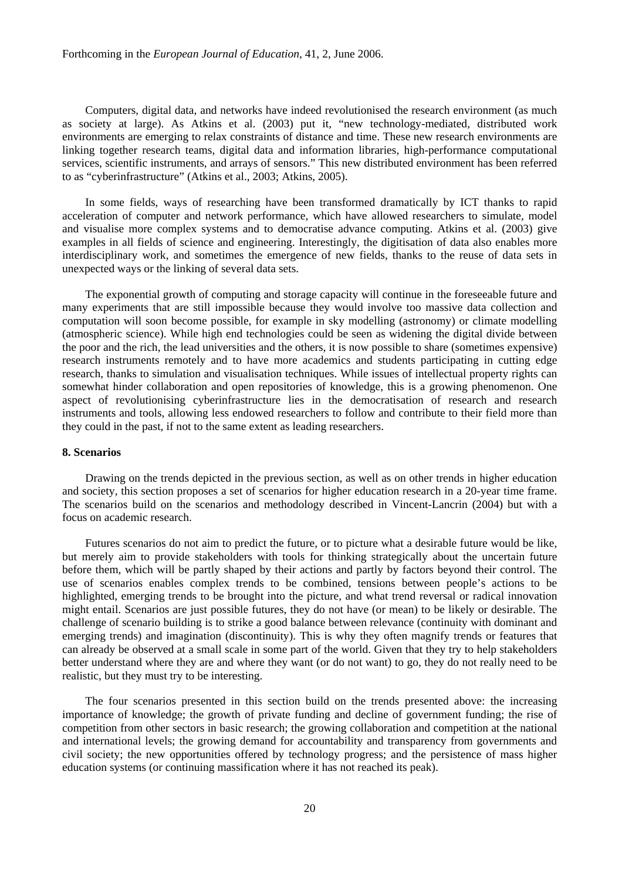Computers, digital data, and networks have indeed revolutionised the research environment (as much as society at large). As Atkins et al. (2003) put it, "new technology-mediated, distributed work environments are emerging to relax constraints of distance and time. These new research environments are linking together research teams, digital data and information libraries, high-performance computational services, scientific instruments, and arrays of sensors." This new distributed environment has been referred to as "cyberinfrastructure" (Atkins et al., 2003; Atkins, 2005).

In some fields, ways of researching have been transformed dramatically by ICT thanks to rapid acceleration of computer and network performance, which have allowed researchers to simulate, model and visualise more complex systems and to democratise advance computing. Atkins et al. (2003) give examples in all fields of science and engineering. Interestingly, the digitisation of data also enables more interdisciplinary work, and sometimes the emergence of new fields, thanks to the reuse of data sets in unexpected ways or the linking of several data sets.

The exponential growth of computing and storage capacity will continue in the foreseeable future and many experiments that are still impossible because they would involve too massive data collection and computation will soon become possible, for example in sky modelling (astronomy) or climate modelling (atmospheric science). While high end technologies could be seen as widening the digital divide between the poor and the rich, the lead universities and the others, it is now possible to share (sometimes expensive) research instruments remotely and to have more academics and students participating in cutting edge research, thanks to simulation and visualisation techniques. While issues of intellectual property rights can somewhat hinder collaboration and open repositories of knowledge, this is a growing phenomenon. One aspect of revolutionising cyberinfrastructure lies in the democratisation of research and research instruments and tools, allowing less endowed researchers to follow and contribute to their field more than they could in the past, if not to the same extent as leading researchers.

# **8. Scenarios**

Drawing on the trends depicted in the previous section, as well as on other trends in higher education and society, this section proposes a set of scenarios for higher education research in a 20-year time frame. The scenarios build on the scenarios and methodology described in Vincent-Lancrin (2004) but with a focus on academic research.

Futures scenarios do not aim to predict the future, or to picture what a desirable future would be like, but merely aim to provide stakeholders with tools for thinking strategically about the uncertain future before them, which will be partly shaped by their actions and partly by factors beyond their control. The use of scenarios enables complex trends to be combined, tensions between people's actions to be highlighted, emerging trends to be brought into the picture, and what trend reversal or radical innovation might entail. Scenarios are just possible futures, they do not have (or mean) to be likely or desirable. The challenge of scenario building is to strike a good balance between relevance (continuity with dominant and emerging trends) and imagination (discontinuity). This is why they often magnify trends or features that can already be observed at a small scale in some part of the world. Given that they try to help stakeholders better understand where they are and where they want (or do not want) to go, they do not really need to be realistic, but they must try to be interesting.

The four scenarios presented in this section build on the trends presented above: the increasing importance of knowledge; the growth of private funding and decline of government funding; the rise of competition from other sectors in basic research; the growing collaboration and competition at the national and international levels; the growing demand for accountability and transparency from governments and civil society; the new opportunities offered by technology progress; and the persistence of mass higher education systems (or continuing massification where it has not reached its peak).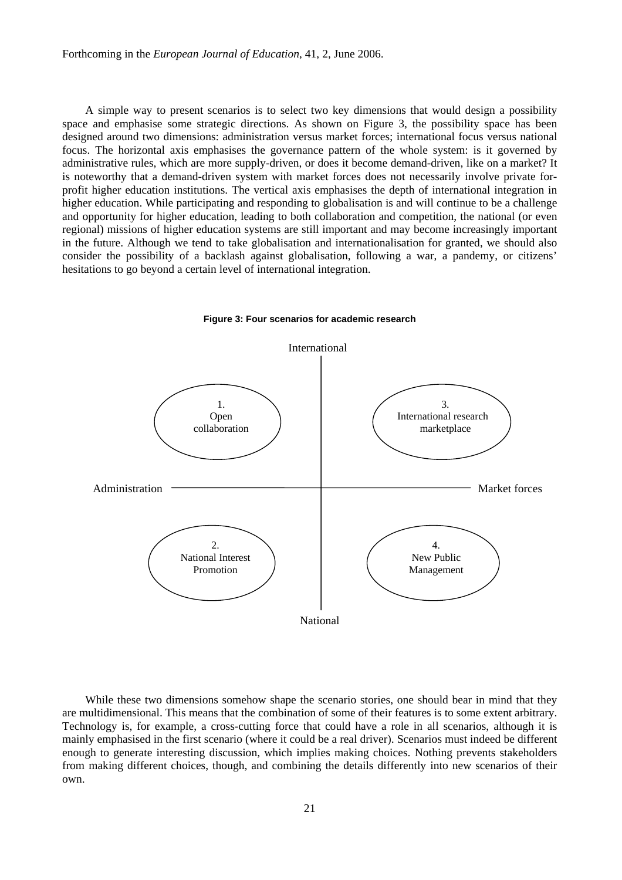A simple way to present scenarios is to select two key dimensions that would design a possibility space and emphasise some strategic directions. As shown on Figure 3, the possibility space has been designed around two dimensions: administration versus market forces; international focus versus national focus. The horizontal axis emphasises the governance pattern of the whole system: is it governed by administrative rules, which are more supply-driven, or does it become demand-driven, like on a market? It is noteworthy that a demand-driven system with market forces does not necessarily involve private forprofit higher education institutions. The vertical axis emphasises the depth of international integration in higher education. While participating and responding to globalisation is and will continue to be a challenge and opportunity for higher education, leading to both collaboration and competition, the national (or even regional) missions of higher education systems are still important and may become increasingly important in the future. Although we tend to take globalisation and internationalisation for granted, we should also consider the possibility of a backlash against globalisation, following a war, a pandemy, or citizens' hesitations to go beyond a certain level of international integration.



**Figure 3: Four scenarios for academic research**

While these two dimensions somehow shape the scenario stories, one should bear in mind that they are multidimensional. This means that the combination of some of their features is to some extent arbitrary. Technology is, for example, a cross-cutting force that could have a role in all scenarios, although it is mainly emphasised in the first scenario (where it could be a real driver). Scenarios must indeed be different enough to generate interesting discussion, which implies making choices. Nothing prevents stakeholders from making different choices, though, and combining the details differently into new scenarios of their own.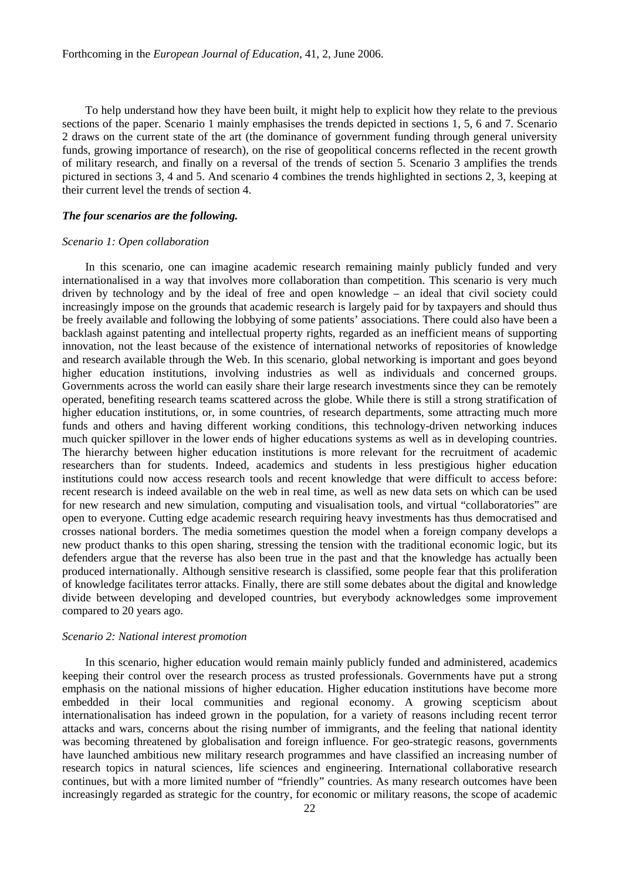To help understand how they have been built, it might help to explicit how they relate to the previous sections of the paper. Scenario 1 mainly emphasises the trends depicted in sections 1, 5, 6 and 7. Scenario 2 draws on the current state of the art (the dominance of government funding through general university funds, growing importance of research), on the rise of geopolitical concerns reflected in the recent growth of military research, and finally on a reversal of the trends of section 5. Scenario 3 amplifies the trends pictured in sections 3, 4 and 5. And scenario 4 combines the trends highlighted in sections 2, 3, keeping at their current level the trends of section 4.

# *The four scenarios are the following.*

#### *Scenario 1: Open collaboration*

In this scenario, one can imagine academic research remaining mainly publicly funded and very internationalised in a way that involves more collaboration than competition. This scenario is very much driven by technology and by the ideal of free and open knowledge – an ideal that civil society could increasingly impose on the grounds that academic research is largely paid for by taxpayers and should thus be freely available and following the lobbying of some patients' associations. There could also have been a backlash against patenting and intellectual property rights, regarded as an inefficient means of supporting innovation, not the least because of the existence of international networks of repositories of knowledge and research available through the Web. In this scenario, global networking is important and goes beyond higher education institutions, involving industries as well as individuals and concerned groups. Governments across the world can easily share their large research investments since they can be remotely operated, benefiting research teams scattered across the globe. While there is still a strong stratification of higher education institutions, or, in some countries, of research departments, some attracting much more funds and others and having different working conditions, this technology-driven networking induces much quicker spillover in the lower ends of higher educations systems as well as in developing countries. The hierarchy between higher education institutions is more relevant for the recruitment of academic researchers than for students. Indeed, academics and students in less prestigious higher education institutions could now access research tools and recent knowledge that were difficult to access before: recent research is indeed available on the web in real time, as well as new data sets on which can be used for new research and new simulation, computing and visualisation tools, and virtual "collaboratories" are open to everyone. Cutting edge academic research requiring heavy investments has thus democratised and crosses national borders. The media sometimes question the model when a foreign company develops a new product thanks to this open sharing, stressing the tension with the traditional economic logic, but its defenders argue that the reverse has also been true in the past and that the knowledge has actually been produced internationally. Although sensitive research is classified, some people fear that this proliferation of knowledge facilitates terror attacks. Finally, there are still some debates about the digital and knowledge divide between developing and developed countries, but everybody acknowledges some improvement compared to 20 years ago.

### *Scenario 2: National interest promotion*

In this scenario, higher education would remain mainly publicly funded and administered, academics keeping their control over the research process as trusted professionals. Governments have put a strong emphasis on the national missions of higher education. Higher education institutions have become more embedded in their local communities and regional economy. A growing scepticism about internationalisation has indeed grown in the population, for a variety of reasons including recent terror attacks and wars, concerns about the rising number of immigrants, and the feeling that national identity was becoming threatened by globalisation and foreign influence. For geo-strategic reasons, governments have launched ambitious new military research programmes and have classified an increasing number of research topics in natural sciences, life sciences and engineering. International collaborative research continues, but with a more limited number of "friendly" countries. As many research outcomes have been increasingly regarded as strategic for the country, for economic or military reasons, the scope of academic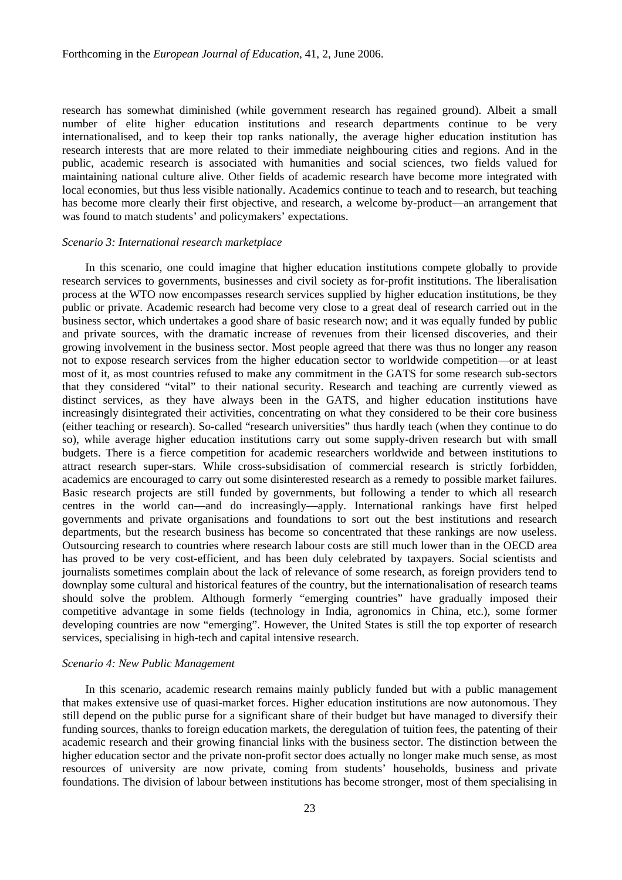research has somewhat diminished (while government research has regained ground). Albeit a small number of elite higher education institutions and research departments continue to be very internationalised, and to keep their top ranks nationally, the average higher education institution has research interests that are more related to their immediate neighbouring cities and regions. And in the public, academic research is associated with humanities and social sciences, two fields valued for maintaining national culture alive. Other fields of academic research have become more integrated with local economies, but thus less visible nationally. Academics continue to teach and to research, but teaching has become more clearly their first objective, and research, a welcome by-product—an arrangement that was found to match students' and policymakers' expectations.

#### *Scenario 3: International research marketplace*

In this scenario, one could imagine that higher education institutions compete globally to provide research services to governments, businesses and civil society as for-profit institutions. The liberalisation process at the WTO now encompasses research services supplied by higher education institutions, be they public or private. Academic research had become very close to a great deal of research carried out in the business sector, which undertakes a good share of basic research now; and it was equally funded by public and private sources, with the dramatic increase of revenues from their licensed discoveries, and their growing involvement in the business sector. Most people agreed that there was thus no longer any reason not to expose research services from the higher education sector to worldwide competition—or at least most of it, as most countries refused to make any commitment in the GATS for some research sub-sectors that they considered "vital" to their national security. Research and teaching are currently viewed as distinct services, as they have always been in the GATS, and higher education institutions have increasingly disintegrated their activities, concentrating on what they considered to be their core business (either teaching or research). So-called "research universities" thus hardly teach (when they continue to do so), while average higher education institutions carry out some supply-driven research but with small budgets. There is a fierce competition for academic researchers worldwide and between institutions to attract research super-stars. While cross-subsidisation of commercial research is strictly forbidden, academics are encouraged to carry out some disinterested research as a remedy to possible market failures. Basic research projects are still funded by governments, but following a tender to which all research centres in the world can—and do increasingly—apply. International rankings have first helped governments and private organisations and foundations to sort out the best institutions and research departments, but the research business has become so concentrated that these rankings are now useless. Outsourcing research to countries where research labour costs are still much lower than in the OECD area has proved to be very cost-efficient, and has been duly celebrated by taxpayers. Social scientists and journalists sometimes complain about the lack of relevance of some research, as foreign providers tend to downplay some cultural and historical features of the country, but the internationalisation of research teams should solve the problem. Although formerly "emerging countries" have gradually imposed their competitive advantage in some fields (technology in India, agronomics in China, etc.), some former developing countries are now "emerging". However, the United States is still the top exporter of research services, specialising in high-tech and capital intensive research.

### *Scenario 4: New Public Management*

In this scenario, academic research remains mainly publicly funded but with a public management that makes extensive use of quasi-market forces. Higher education institutions are now autonomous. They still depend on the public purse for a significant share of their budget but have managed to diversify their funding sources, thanks to foreign education markets, the deregulation of tuition fees, the patenting of their academic research and their growing financial links with the business sector. The distinction between the higher education sector and the private non-profit sector does actually no longer make much sense, as most resources of university are now private, coming from students' households, business and private foundations. The division of labour between institutions has become stronger, most of them specialising in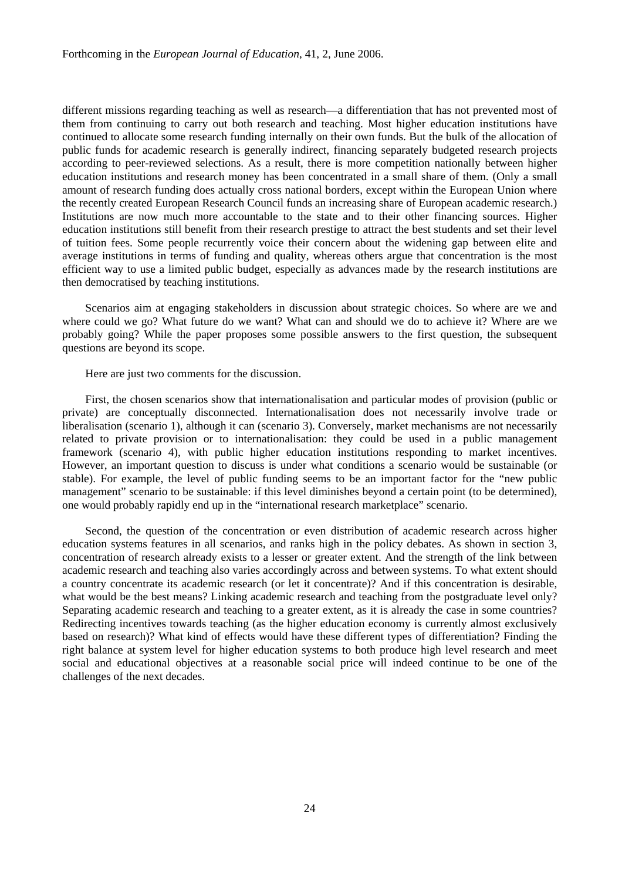different missions regarding teaching as well as research—a differentiation that has not prevented most of them from continuing to carry out both research and teaching. Most higher education institutions have continued to allocate some research funding internally on their own funds. But the bulk of the allocation of public funds for academic research is generally indirect, financing separately budgeted research projects according to peer-reviewed selections. As a result, there is more competition nationally between higher education institutions and research money has been concentrated in a small share of them. (Only a small amount of research funding does actually cross national borders, except within the European Union where the recently created European Research Council funds an increasing share of European academic research.) Institutions are now much more accountable to the state and to their other financing sources. Higher education institutions still benefit from their research prestige to attract the best students and set their level of tuition fees. Some people recurrently voice their concern about the widening gap between elite and average institutions in terms of funding and quality, whereas others argue that concentration is the most efficient way to use a limited public budget, especially as advances made by the research institutions are then democratised by teaching institutions.

Scenarios aim at engaging stakeholders in discussion about strategic choices. So where are we and where could we go? What future do we want? What can and should we do to achieve it? Where are we probably going? While the paper proposes some possible answers to the first question, the subsequent questions are beyond its scope.

Here are just two comments for the discussion.

First, the chosen scenarios show that internationalisation and particular modes of provision (public or private) are conceptually disconnected. Internationalisation does not necessarily involve trade or liberalisation (scenario 1), although it can (scenario 3). Conversely, market mechanisms are not necessarily related to private provision or to internationalisation: they could be used in a public management framework (scenario 4), with public higher education institutions responding to market incentives. However, an important question to discuss is under what conditions a scenario would be sustainable (or stable). For example, the level of public funding seems to be an important factor for the "new public management" scenario to be sustainable: if this level diminishes beyond a certain point (to be determined), one would probably rapidly end up in the "international research marketplace" scenario.

Second, the question of the concentration or even distribution of academic research across higher education systems features in all scenarios, and ranks high in the policy debates. As shown in section 3, concentration of research already exists to a lesser or greater extent. And the strength of the link between academic research and teaching also varies accordingly across and between systems. To what extent should a country concentrate its academic research (or let it concentrate)? And if this concentration is desirable, what would be the best means? Linking academic research and teaching from the postgraduate level only? Separating academic research and teaching to a greater extent, as it is already the case in some countries? Redirecting incentives towards teaching (as the higher education economy is currently almost exclusively based on research)? What kind of effects would have these different types of differentiation? Finding the right balance at system level for higher education systems to both produce high level research and meet social and educational objectives at a reasonable social price will indeed continue to be one of the challenges of the next decades.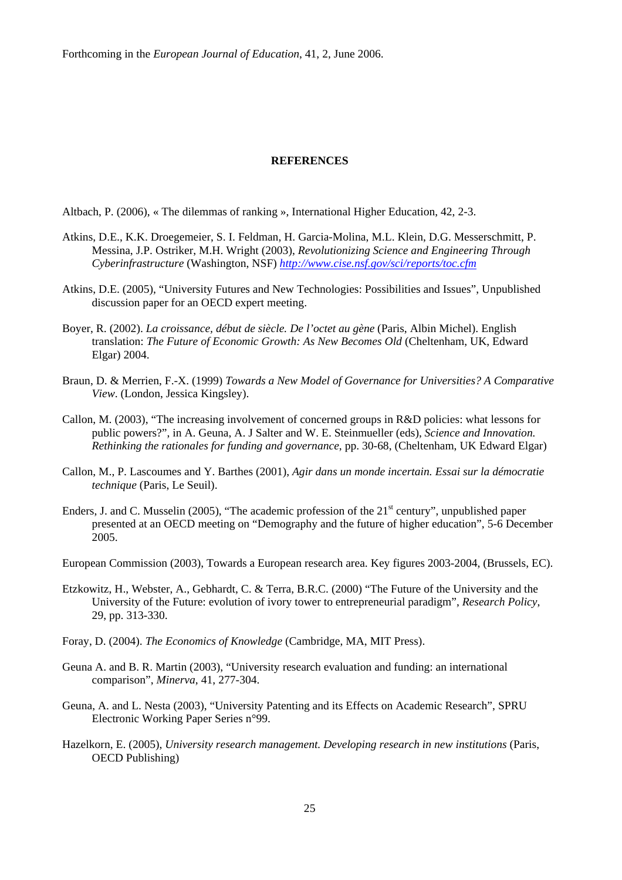# **REFERENCES**

Altbach, P. (2006), « The dilemmas of ranking », International Higher Education, 42, 2-3.

- Atkins, D.E., K.K. Droegemeier, S. I. Feldman, H. Garcia-Molina, M.L. Klein, D.G. Messerschmitt, P. Messina, J.P. Ostriker, M.H. Wright (2003), *Revolutionizing Science and Engineering Through Cyberinfrastructure* (Washington, NSF) *<http://www.cise.nsf.gov/sci/reports/toc.cfm>*
- Atkins, D.E. (2005), "University Futures and New Technologies: Possibilities and Issues", Unpublished discussion paper for an OECD expert meeting.
- Boyer, R. (2002). *La croissance, début de siècle. De l'octet au gène* (Paris, Albin Michel). English translation: *The Future of Economic Growth: As New Becomes Old* (Cheltenham, UK, Edward Elgar) 2004.
- Braun, D. & Merrien, F.-X. (1999) *Towards a New Model of Governance for Universities? A Comparative View*. (London, Jessica Kingsley).
- Callon, M. (2003), "The increasing involvement of concerned groups in R&D policies: what lessons for public powers?", in A. Geuna, A. J Salter and W. E. Steinmueller (eds), *Science and Innovation. Rethinking the rationales for funding and governance*, pp. 30-68, (Cheltenham, UK Edward Elgar)
- Callon, M., P. Lascoumes and Y. Barthes (2001), *Agir dans un monde incertain. Essai sur la démocratie technique* (Paris, Le Seuil).
- Enders, J. and C. Musselin (2005), "The academic profession of the  $21<sup>st</sup>$  century", unpublished paper presented at an OECD meeting on "Demography and the future of higher education", 5-6 December 2005.
- European Commission (2003), Towards a European research area. Key figures 2003-2004, (Brussels, EC).
- Etzkowitz, H., Webster, A., Gebhardt, C. & Terra, B.R.C. (2000) "The Future of the University and the University of the Future: evolution of ivory tower to entrepreneurial paradigm", *Research Policy*, 29, pp. 313-330.
- Foray, D. (2004). *The Economics of Knowledge* (Cambridge, MA, MIT Press).
- Geuna A. and B. R. Martin (2003), "University research evaluation and funding: an international comparison", *Minerva*, 41, 277-304.
- Geuna, A. and L. Nesta (2003), "University Patenting and its Effects on Academic Research", SPRU Electronic Working Paper Series n°99.
- Hazelkorn, E. (2005), *University research management. Developing research in new institutions* (Paris, OECD Publishing)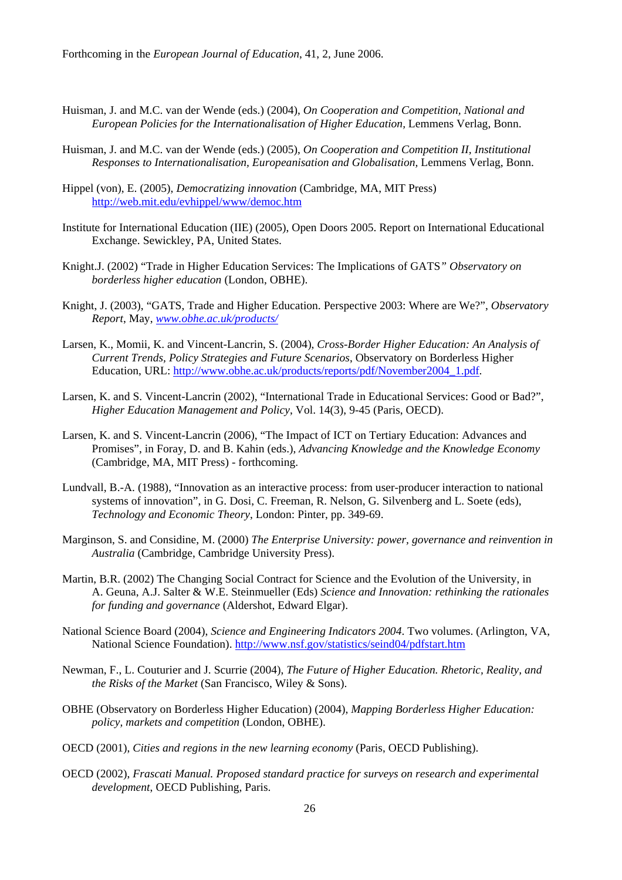- Huisman, J. and M.C. van der Wende (eds.) (2004), *On Cooperation and Competition, National and European Policies for the Internationalisation of Higher Education,* Lemmens Verlag, Bonn.
- Huisman, J. and M.C. van der Wende (eds.) (2005), *On Cooperation and Competition II, Institutional Responses to Internationalisation, Europeanisation and Globalisation,* Lemmens Verlag, Bonn.
- Hippel (von), E. (2005), *Democratizing innovation* (Cambridge, MA, MIT Press) <http://web.mit.edu/evhippel/www/democ.htm>
- Institute for International Education (IIE) (2005), Open Doors 2005. Report on International Educational Exchange. Sewickley, PA, United States.
- Knight.J. (2002) "Trade in Higher Education Services: The Implications of GATS*" Observatory on borderless higher education* (London, OBHE).
- Knight, J. (2003), "GATS, Trade and Higher Education. Perspective 2003: Where are We?", *Observatory Report*, May, *[www.obhe.ac.uk/products/](http://www.obhe.ac.uk/products/)*
- Larsen, K., Momii, K. and Vincent-Lancrin, S. (2004), *Cross-Border Higher Education: An Analysis of Current Trends, Policy Strategies and Future Scenarios*, Observatory on Borderless Higher Education, URL: [http://www.obhe.ac.uk/products/reports/pdf/November2004\\_1.pdf.](http://www.obhe.ac.uk/products/reports/pdf/November2004_1.pdf)
- Larsen, K. and S. Vincent-Lancrin (2002), "International Trade in Educational Services: Good or Bad?", *Higher Education Management and Policy*, Vol. 14(3), 9-45 (Paris, OECD).
- Larsen, K. and S. Vincent-Lancrin (2006), "The Impact of ICT on Tertiary Education: Advances and Promises", in Foray, D. and B. Kahin (eds.), *Advancing Knowledge and the Knowledge Economy* (Cambridge, MA, MIT Press) - forthcoming.
- Lundvall, B.-A. (1988), "Innovation as an interactive process: from user-producer interaction to national systems of innovation", in G. Dosi, C. Freeman, R. Nelson, G. Silvenberg and L. Soete (eds), *Technology and Economic Theory*, London: Pinter, pp. 349-69.
- Marginson, S. and Considine, M. (2000) *The Enterprise University: power, governance and reinvention in Australia* (Cambridge, Cambridge University Press).
- Martin, B.R. (2002) The Changing Social Contract for Science and the Evolution of the University, in A. Geuna, A.J. Salter & W.E. Steinmueller (Eds) *Science and Innovation: rethinking the rationales for funding and governance* (Aldershot, Edward Elgar).
- National Science Board (2004), *Science and Engineering Indicators 2004*. Two volumes. (Arlington, VA, National Science Foundation). <http://www.nsf.gov/statistics/seind04/pdfstart.htm>
- Newman, F., L. Couturier and J. Scurrie (2004), *The Future of Higher Education. Rhetoric, Reality, and the Risks of the Market* (San Francisco, Wiley & Sons).
- OBHE (Observatory on Borderless Higher Education) (2004), *Mapping Borderless Higher Education: policy, markets and competition* (London, OBHE).
- OECD (2001), *Cities and regions in the new learning economy* (Paris, OECD Publishing).
- OECD (2002), *Frascati Manual. Proposed standard practice for surveys on research and experimental development*, OECD Publishing, Paris.